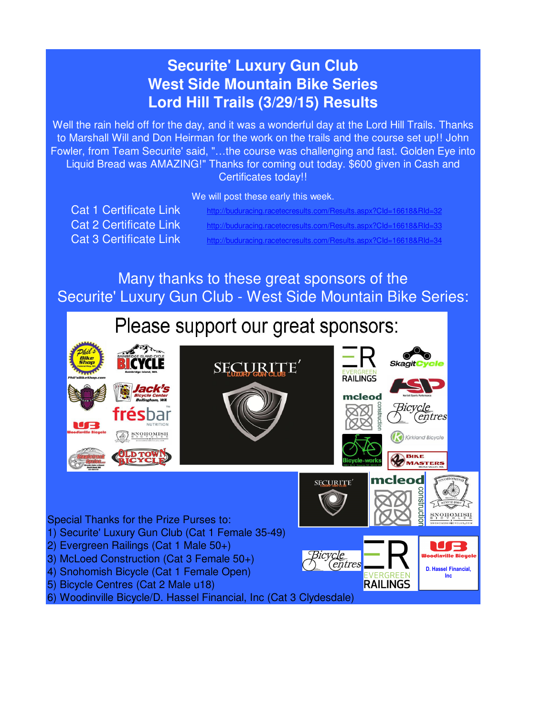### **Securite' Luxury Gun Club West Side Mountain Bike Series Lord Hill Trails (3/29/15) Results**

Well the rain held off for the day, and it was a wonderful day at the Lord Hill Trails. Thanks to Marshall Will and Don Heirman for the work on the trails and the course set up!! John Fowler, from Team Securite' said, "...the course was challenging and fast. Golden Eye into Liquid Bread was AMAZING!" Thanks for coming out today. \$600 given in Cash and Certificates today!!

We will post these early this week.

Cat 1 Certificate Link http://buduracing.racetecresults.com/Results.aspx?CId=16618&RId=32 Cat 3 Certificate Link http://buduracing.racetecresults.com/Results.aspx?CId=16618&RId=34 Cat 2 Certificate Link http://buduracing.racetecresults.com/Results.aspx?CId=16618&RId=33

Many thanks to these great sponsors of the Securite' Luxury Gun Club - West Side Mountain Bike Series:

## Please support our great sponsors:



6) Woodinville Bicycle/D. Hassel Financial, Inc (Cat 3 Clydesdale)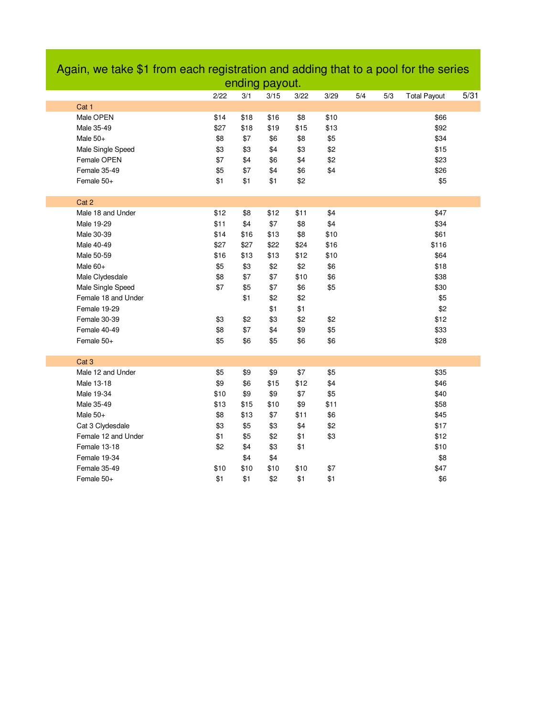|                   |                     |      |      | ending payout. |      |      |     |     |                     |      |
|-------------------|---------------------|------|------|----------------|------|------|-----|-----|---------------------|------|
|                   |                     | 2/22 | 3/1  | 3/15           | 3/22 | 3/29 | 5/4 | 5/3 | <b>Total Payout</b> | 5/31 |
| Cat 1             |                     |      |      |                |      |      |     |     |                     |      |
| Male OPEN         |                     | \$14 | \$18 | \$16           | \$8  | \$10 |     |     | \$66                |      |
| Male 35-49        |                     | \$27 | \$18 | \$19           | \$15 | \$13 |     |     | \$92                |      |
| Male $50+$        |                     | \$8  | \$7  | \$6            | \$8  | \$5  |     |     | \$34                |      |
| Male Single Speed |                     | \$3  | \$3  | \$4            | \$3  | \$2  |     |     | \$15                |      |
| Female OPEN       |                     | \$7  | \$4  | \$6            | \$4  | \$2  |     |     | \$23                |      |
| Female 35-49      |                     | \$5  | \$7  | \$4            | \$6  | \$4  |     |     | \$26                |      |
| Female 50+        |                     | \$1  | \$1  | \$1            | \$2  |      |     |     | \$5                 |      |
|                   |                     |      |      |                |      |      |     |     |                     |      |
| Cat 2             |                     |      |      |                |      |      |     |     |                     |      |
| Male 18 and Under |                     | \$12 | \$8  | \$12           | \$11 | \$4  |     |     | \$47                |      |
| Male 19-29        |                     | \$11 | \$4  | \$7            | \$8  | \$4  |     |     | \$34                |      |
| Male 30-39        |                     | \$14 | \$16 | \$13           | \$8  | \$10 |     |     | \$61                |      |
| Male 40-49        |                     | \$27 | \$27 | \$22           | \$24 | \$16 |     |     | \$116               |      |
| Male 50-59        |                     | \$16 | \$13 | \$13           | \$12 | \$10 |     |     | \$64                |      |
| Male 60+          |                     | \$5  | \$3  | \$2            | \$2  | \$6  |     |     | \$18                |      |
| Male Clydesdale   |                     | \$8  | \$7  | \$7            | \$10 | \$6  |     |     | \$38                |      |
| Male Single Speed |                     | \$7  | \$5  | \$7            | \$6  | \$5  |     |     | \$30                |      |
|                   | Female 18 and Under |      | \$1  | \$2            | \$2  |      |     |     | \$5                 |      |
| Female 19-29      |                     |      |      | \$1            | \$1  |      |     |     | \$2                 |      |
| Female 30-39      |                     | \$3  | \$2  | \$3            | \$2  | \$2  |     |     | \$12                |      |
| Female 40-49      |                     | \$8  | \$7  | \$4            | \$9  | \$5  |     |     | \$33                |      |
| Female 50+        |                     | \$5  | \$6  | \$5            | \$6  | \$6  |     |     | \$28                |      |
| Cat <sub>3</sub>  |                     |      |      |                |      |      |     |     |                     |      |
| Male 12 and Under |                     | \$5  | \$9  | \$9            | \$7  | \$5  |     |     | \$35                |      |
| Male 13-18        |                     | \$9  | \$6  | \$15           | \$12 | \$4  |     |     | \$46                |      |
| Male 19-34        |                     | \$10 | \$9  | \$9            | \$7  | \$5  |     |     | \$40                |      |
| Male 35-49        |                     | \$13 | \$15 | \$10           | \$9  | \$11 |     |     | \$58                |      |
| Male 50+          |                     | \$8  | \$13 | \$7            | \$11 | \$6  |     |     | \$45                |      |
| Cat 3 Clydesdale  |                     | \$3  | \$5  | \$3            | \$4  | \$2  |     |     | \$17                |      |
|                   | Female 12 and Under | \$1  | \$5  | \$2            | \$1  | \$3  |     |     | \$12                |      |
| Female 13-18      |                     | \$2  | \$4  | \$3            | \$1  |      |     |     | \$10                |      |
| Female 19-34      |                     |      | \$4  | \$4            |      |      |     |     | \$8                 |      |
| Female 35-49      |                     | \$10 | \$10 | \$10           | \$10 | \$7  |     |     | \$47                |      |
| Female 50+        |                     | \$1  | \$1  | \$2            | \$1  | \$1  |     |     | \$6                 |      |

# Again, we take \$1 from each registration and adding that to a pool for the series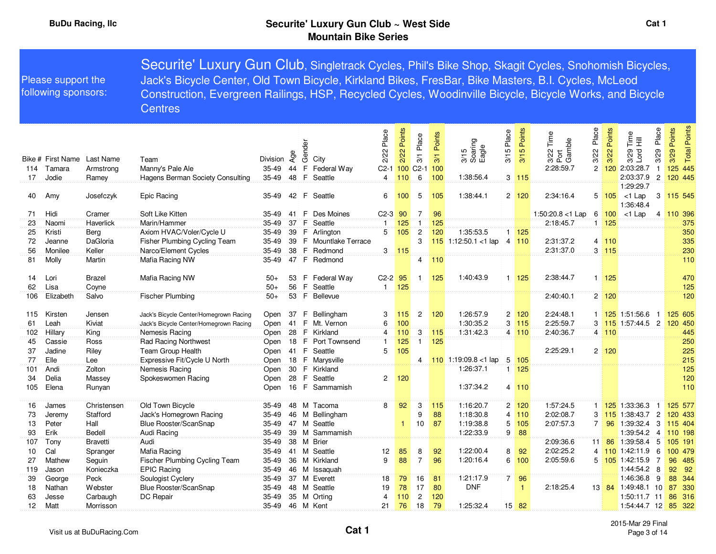|                  | Please support the<br>following sponsors: |                                 | Securite' Luxury Gun Club, Singletrack Cycles, Phil's Bike Shop, Skagit Cycles, Snohomish Bicycles,<br>Jack's Bicycle Center, Old Town Bicycle, Kirkland Bikes, FresBar, Bike Masters, B.I. Cycles, McLeod<br>Construction, Evergreen Railings, HSP, Recycled Cycles, Woodinville Bicycle, Bicycle Works, and Bicycle<br><b>Centres</b> |                            |                       |                                                              |                              |                           |                              |                          |                                        |                |                          |                                          |                                 |                       |                                                                                                        |                |                                       |
|------------------|-------------------------------------------|---------------------------------|-----------------------------------------------------------------------------------------------------------------------------------------------------------------------------------------------------------------------------------------------------------------------------------------------------------------------------------------|----------------------------|-----------------------|--------------------------------------------------------------|------------------------------|---------------------------|------------------------------|--------------------------|----------------------------------------|----------------|--------------------------|------------------------------------------|---------------------------------|-----------------------|--------------------------------------------------------------------------------------------------------|----------------|---------------------------------------|
| 114<br>17        | Bike # First Name<br>Tamara<br>Jodie      | Last Name<br>Armstrona<br>Ramey | Team<br>Manny's Pale Ale<br>Hagens Berman Society Consulting                                                                                                                                                                                                                                                                            | Division<br>35-49<br>35-49 | Age<br>44<br>48       | Gender<br>City<br>$\mathsf F$<br>Federal Way<br>F<br>Seattle | Place<br>2/22<br>$C2-1$<br>4 | 2/22 Points<br>100<br>110 | 3/1 Place<br>$C2-1$<br>$\,6$ | 3/1 Points<br>100<br>100 | 3/15<br>Soaring<br>Eagle<br>1:38:56.4  | Place<br>3/15  | 3/15 Points<br>$3$ 115   | 3/22 Time<br>Port<br>Gamble<br>2:28:59.7 | Place<br>3/22<br>$\overline{2}$ | Points<br>3/22<br>120 | Place<br>Time<br>量<br>Lord<br>3/29<br>3/29<br>2:03:28.7<br>$\mathbf{1}$<br>2:03:37.9<br>$\overline{2}$ | Points<br>3/29 | Points<br>Total<br>125 445<br>120 445 |
| 40               | Amy                                       | Josefczyk                       | Epic Racing                                                                                                                                                                                                                                                                                                                             | $35 - 49$                  | 42                    | i F<br>Seattle                                               | 6                            | 100                       | 5                            | 105                      | 1:38:44.1                              |                | $2 \quad 120$            | 2:34:16.4                                |                                 |                       | 1:29:29.7<br>$5 \ 105 \ 1$ c1 Lap<br>1:36:48.4                                                         |                | 3   115   545                         |
| 71               | Hidi                                      | Cramer                          | Soft Like Kitten                                                                                                                                                                                                                                                                                                                        | 35-49                      | 41                    | F<br>Des Moines                                              | $C2-3$ 90                    |                           | 7                            | 96                       |                                        |                |                          | 1:50:20.8 <1 Lap                         | 6                               | 100                   | $<$ 1 Lap                                                                                              |                | 4 110 396                             |
| 23               | Naomi                                     | Haverlick                       | Marin/Hammer                                                                                                                                                                                                                                                                                                                            | 35-49                      | 37                    | F<br>Seattle                                                 | $\mathbf{1}$                 | 125                       | $\mathbf{1}$                 | 125                      |                                        |                |                          | 2:18:45.7                                |                                 | $1 \overline{125}$    |                                                                                                        |                | 375                                   |
| 25               | Kristi                                    | Berg                            | Axiom HVAC/Voler/Cycle U                                                                                                                                                                                                                                                                                                                | 35-49                      | 39                    | F Arlington                                                  | 5                            | 105                       | $\overline{c}$               | 120                      | 1:35:53.5                              |                | $1 \quad 125$            |                                          |                                 |                       |                                                                                                        |                | 350                                   |
| 72               | Jeanne                                    | DaGloria                        | Fisher Plumbing Cycling Team                                                                                                                                                                                                                                                                                                            | $35 - 49$                  | 39                    | F Mountlake Terrace                                          |                              |                           | 3                            | 115                      | 1:12:50.1 <1 $\alpha$                  |                | 4 110                    | 2:31:37.2                                | $\overline{4}$                  | 110                   |                                                                                                        |                | 335                                   |
| 56               | Monilee                                   | Keller                          | Narco/Element Cycles                                                                                                                                                                                                                                                                                                                    | 35-49                      | 38                    | F.<br>Redmond                                                | 3                            | 115                       |                              |                          |                                        |                |                          | 2:31:37.0                                | 3                               | 115                   |                                                                                                        |                | 230                                   |
| 81               | Molly                                     | Martin                          | Mafia Racing NW                                                                                                                                                                                                                                                                                                                         | 35-49                      | 47                    | F Redmond                                                    |                              |                           | $\overline{4}$               | 110                      |                                        |                |                          |                                          |                                 |                       |                                                                                                        |                | 110                                   |
| 14<br>62         | Lori<br>Lisa                              | <b>Brazel</b><br>Coyne          | Mafia Racing NW                                                                                                                                                                                                                                                                                                                         | $50+$<br>$50+$             | 53<br>56              | F Federal Way<br>F.<br>Seattle                               | $C2-2$ 95<br>$\mathbf{1}$    | 125                       | $\mathbf{1}$                 | 125                      | 1:40:43.9                              |                | $1 \quad 125$            | 2:38:44.7                                |                                 | $1 \overline{125}$    |                                                                                                        |                | 470<br>125                            |
| 106              | Elizabeth                                 | Salvo                           | Fischer Plumbing                                                                                                                                                                                                                                                                                                                        | $50+$                      |                       | 53 F Bellevue                                                |                              |                           |                              |                          |                                        |                |                          | 2:40:40.1                                |                                 | $2 \mid 120$          |                                                                                                        |                | 120                                   |
| 115<br>61        | Kirsten<br>Leah                           | Jensen<br>Kiviat                | Jack's Bicycle Center/Homegrown Racing<br>Jack's Bicycle Center/Homegrown Racing                                                                                                                                                                                                                                                        | Open<br>Open               | 41                    | 37 F Bellingham<br>E<br>Mt. Vernon                           | 3<br>6                       | 115<br>100                | $\overline{2}$               | 120                      | 1:26:57.9<br>1:30:35.2                 |                | $2 \quad 120$<br>$3$ 115 | 2:24:48.1<br>2:25:59.7                   |                                 |                       | 1 125 1:51:56.6<br>$\overline{1}$<br>3 115 1:57:44.5 2                                                 |                | 125 605<br>120 450                    |
| 102              | Hillary                                   | King                            | Nemesis Racing                                                                                                                                                                                                                                                                                                                          | Open                       | 28                    | F.<br>Kirkland                                               | 4                            | 110                       | 3                            | 115                      | 1:31:42.3                              |                | 4 110                    | 2:40:36.7                                |                                 | 4 110                 |                                                                                                        |                | 445                                   |
| 45               | Cassie                                    | Ross                            | <b>Rad Racing Northwest</b>                                                                                                                                                                                                                                                                                                             | Open                       | 18                    | -F<br>Port Townsend                                          | $\mathbf{1}$<br>5            | 125                       | $\mathbf{1}$                 | 125                      |                                        |                |                          | 2:25:29.1                                |                                 |                       |                                                                                                        |                | 250                                   |
| 37<br>77         | Jadine                                    | Riley                           | Team Group Health                                                                                                                                                                                                                                                                                                                       | Open                       | 41                    | F.<br>Seattle                                                |                              | 105                       |                              |                          |                                        |                |                          |                                          |                                 | $2 \overline{120}$    |                                                                                                        |                | 225                                   |
|                  | Elle                                      | Lee                             | Expressive Fit/Cycle U North                                                                                                                                                                                                                                                                                                            | Open                       | 18<br>30 <sup>1</sup> | -F<br>Marysville<br>F Kirkland                               |                              |                           | 4                            |                          | 110 1:19:09.8 <1 $\alpha$<br>1:26:37.1 | 5              | 105                      |                                          |                                 |                       |                                                                                                        |                | 215                                   |
| 101<br>34<br>105 | Andi<br>Delia<br>Elena                    | Zolton<br>Massey<br>Runyan      | Nemesis Racing<br>Spokeswomen Racing                                                                                                                                                                                                                                                                                                    | Open<br>Open<br>Open       | 28                    | F.<br>Seattle<br>16 F Sammamish                              |                              | $2 \quad 120$             |                              |                          | 1:37:34.2                              |                | $1 \quad 125$<br>4 110   |                                          |                                 |                       |                                                                                                        |                | 125<br>120<br>110                     |
| 16               | James                                     | Christensen                     | Old Town Bicycle                                                                                                                                                                                                                                                                                                                        | 35-49                      | 48                    | M Tacoma                                                     | 8                            | 92                        | 3                            | 115                      | 1:16:20.7                              |                | 2 120                    | 1:57:24.5                                |                                 |                       | 1 <b>125</b> 1:33:36.3<br>$\overline{1}$                                                               |                | 125 577                               |
| 73               | Jeremy                                    | Stafford                        | Jack's Homegrown Racing                                                                                                                                                                                                                                                                                                                 | 35-49                      | 46                    | M<br>Bellingham                                              |                              |                           | 9                            | 88                       | 1:18:30.8                              |                | 4 110                    | 2:02:08.7                                | 3                               |                       | 115 1:38:43.7<br>$\overline{2}$                                                                        |                | 120 433                               |
| 13               | Peter                                     | Hall                            | Blue Rooster/ScanSnap                                                                                                                                                                                                                                                                                                                   | 35-49                      | 47                    | M<br>Seattle                                                 |                              | 1                         | 10                           | 87                       | 1:19:38.8                              | 5              | 105                      | 2:07:57.3                                | $\overline{7}$                  |                       | $96 \mid 1:39:32.4$ 3                                                                                  |                | 115:404                               |
| 93               | Erik                                      | Bedell                          | Audi Racing                                                                                                                                                                                                                                                                                                                             | 35-49                      | 39                    | M<br>Sammamish                                               |                              |                           |                              |                          | 1:22:33.9                              |                | 9 88                     |                                          |                                 |                       | 1:39:54.2<br>$\overline{4}$                                                                            |                | 110:198                               |
| 107              | Tony                                      | <b>Bravetti</b>                 | Audi                                                                                                                                                                                                                                                                                                                                    | $35 - 49$                  | 38                    | M<br><b>Brier</b>                                            |                              |                           |                              |                          |                                        |                |                          | 2:09:36.6                                |                                 |                       | 11 86 1:39:58.4 5                                                                                      |                | 105 191                               |
| 10               | Cal                                       | Spranger                        | Mafia Racing                                                                                                                                                                                                                                                                                                                            | 35-49                      | 41                    | M<br>Seattle                                                 | 12                           | 85                        | 8                            | 92                       | 1:22:00.4                              | 8              | 92                       | 2:02:25.2                                | $\overline{4}$                  |                       | 110 1:42:11.9<br>6                                                                                     |                | 100 479                               |
| 27               | Mathew                                    | Seguin                          | Fischer Plumbing Cycling Team                                                                                                                                                                                                                                                                                                           | 35-49                      | 36                    | M Kirkland                                                   | 9                            | 88                        | $\overline{7}$               | 96                       | 1:20:16.4                              |                | 6 100                    | 2:05:59.6                                | 5                               |                       | $\overline{7}$<br>105 1:42:15.9                                                                        |                | 96 485                                |
| 119              | Jason                                     | Konieczka                       | <b>EPIC Racing</b>                                                                                                                                                                                                                                                                                                                      | $35 - 49$                  | 46                    | М<br>Issaquah                                                |                              |                           |                              |                          |                                        |                |                          |                                          |                                 |                       | 1:44:54.2<br>8                                                                                         | 92             | 92                                    |
| 39               | George                                    | Peck                            | Soulogist Cyclery                                                                                                                                                                                                                                                                                                                       | 35-49                      | 37                    | M<br>Everett                                                 | 18                           | 79                        | 16                           | 81                       | 1:21:17.9                              | 7 <sup>1</sup> | 96                       |                                          |                                 |                       | 9<br>1:46:36.8                                                                                         | 88             | 344                                   |
| 18               | Nathan                                    | Webster                         | Blue Rooster/ScanSnap                                                                                                                                                                                                                                                                                                                   | 35-49                      | 48                    | Seattle<br>M                                                 | 19                           | 78                        | 17                           | 80                       | <b>DNF</b>                             |                | 1                        | 2:18:25.4                                |                                 |                       | 13 84 1:49:48.1<br>10                                                                                  | 87             | 330                                   |
| 63               | Jesse                                     | Carbaugh                        | DC Repair                                                                                                                                                                                                                                                                                                                               | 35-49                      | 35                    | M<br>Orting                                                  | 4                            | 110                       | $\overline{c}$               | 120                      |                                        |                |                          |                                          |                                 |                       | 1:50:11.7 11                                                                                           |                | 86 316                                |
| 12               | Matt                                      | Morrisson                       |                                                                                                                                                                                                                                                                                                                                         |                            |                       | 35-49 46 M Kent                                              | 21                           | 76                        | 18                           | 79                       | 1:25:32.4                              |                | 15 82                    |                                          |                                 |                       | $1:54:44.7$ 12                                                                                         |                | 85 322                                |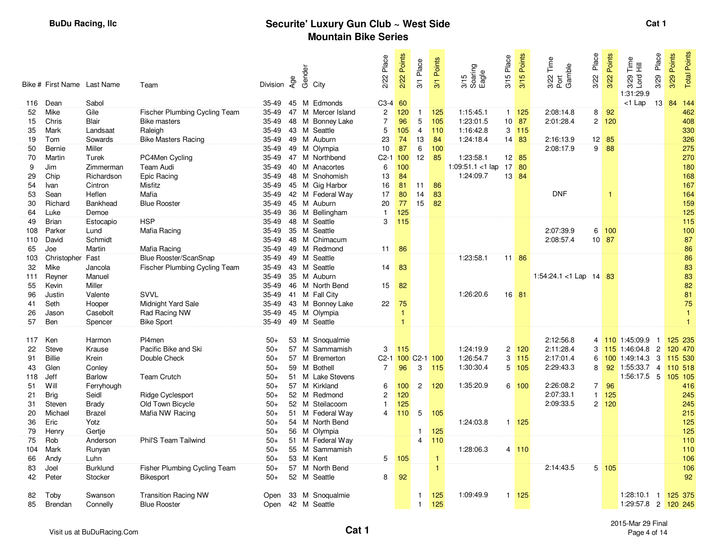|          | Bike # First Name Last Name |                    | Team                          | Division       | Age | Gender | City                           | 2/22 Place                                  | 2/22 Points  | 3/1 Place      | Points<br>3/1     | 3/15<br>Soaring<br>Eagle | 3/15 Place | 3/15 Points                       | Time<br>3/22 Tim<br>Port<br>Gamble | Place<br>3/22  | Points<br>3/22     | Place<br>$\frac{e}{11}$<br>3/29<br>Lord I<br>3/29<br>1:31:29.9 | Points<br>3/29 | <b>Points</b><br>Total |
|----------|-----------------------------|--------------------|-------------------------------|----------------|-----|--------|--------------------------------|---------------------------------------------|--------------|----------------|-------------------|--------------------------|------------|-----------------------------------|------------------------------------|----------------|--------------------|----------------------------------------------------------------|----------------|------------------------|
| 116      | Dean                        | Sabol              |                               | 35-49          |     |        | 45 M Edmonds                   | C3-4 60                                     |              |                |                   |                          |            |                                   |                                    |                |                    | $<$ 1 Lap<br>13                                                | 84             | 144                    |
| 52       | Mike                        | Gile               | Fischer Plumbing Cycling Team | 35-49          |     |        | 47 M Mercer Island             | $\overline{2}$                              | 120          | $\mathbf{1}$   | 125               | 1:15:45.1                |            | $1 \quad 125$                     | 2:08:14.8                          | 8              | 92                 |                                                                |                | 462                    |
| 15       | Chris                       | Blair              | <b>Bike masters</b>           | 35-49          |     | 48 M   | <b>Bonney Lake</b>             | $\overline{7}$                              | 96           | 5              | 105               | 1:23:01.5                |            | $10$ 87                           | 2:01:28.4                          | $\mathbf{2}$   | 120                |                                                                |                | 408                    |
| 35       | Mark                        | Landsaat           | Raleigh                       | 35-49          |     |        | 43 M Seattle                   | 5                                           | 105          | $\overline{4}$ | 110               | 1:16:42.8                |            | $3 \overline{115}$                |                                    |                |                    |                                                                |                | 330                    |
| 19       | Tom                         | Sowards            | <b>Bike Masters Racing</b>    | 35-49          |     |        | 49 M Auburn                    | 23                                          | 74           | 13             | 84                | 1:24:18.4                |            | 14 83                             | 2:16:13.9                          |                | $12 \overline{85}$ |                                                                |                | 326                    |
| 50       | Bernie                      | Miller             |                               | 35-49          |     |        | 49 M Olympia                   | 10                                          | 87           | 6              | 100               |                          |            |                                   | 2:08:17.9                          | 9              | 88                 |                                                                |                | 275                    |
| 70       | Martin                      | Turek              | PC4Men Cycling                | 35-49          |     |        | 47 M Northbend                 | C <sub>2</sub> -1 100                       |              | 12             | 85                | 1:23:58.1                |            | $12 \quad 85$                     |                                    |                |                    |                                                                |                | 270                    |
| 9        | Jim                         | Zimmerman          | Team Audi                     | 35-49          |     |        | 40 M Anacortes                 | 6                                           | 100          |                |                   | 1:09:51.1 <1 lap         |            | $17 \overline{\smash{\big)}\ 80}$ |                                    |                |                    |                                                                |                | 180                    |
| 29       | Chip                        | Richardson         | Epic Racing                   | 35-49          |     |        | 48 M Snohomish                 | 13                                          | 84           |                |                   | 1:24:09.7                |            | 13 84                             |                                    |                |                    |                                                                |                | 168                    |
| 54       | Ivan                        | Cintron            | Misfitz                       | 35-49          |     |        | 45 M Gig Harbor                | 16                                          | 81           | 11             | 86                |                          |            |                                   |                                    |                |                    |                                                                |                | 167                    |
| 53       | Sean                        | Heflen             | Mafia                         | 35-49          |     |        | 42 M Federal Way               | 17                                          | 80           | 14             | 83                |                          |            |                                   | <b>DNF</b>                         |                |                    |                                                                |                | 164                    |
| 30       | Richard                     | <b>Bankhead</b>    | <b>Blue Rooster</b>           | 35-49          |     |        | 45 M Auburn                    | 20                                          | 77           | 15             | 82                |                          |            |                                   |                                    |                |                    |                                                                |                | 159                    |
| 64       | Luke                        | Demoe              |                               | 35-49          |     |        | 36 M Bellingham                | $\mathbf{1}$                                | 125          |                |                   |                          |            |                                   |                                    |                |                    |                                                                |                | 125                    |
| 49       | <b>Brian</b>                | Estocapio          | <b>HSP</b>                    | 35-49          |     |        | 48 M Seattle                   | 3                                           | 115          |                |                   |                          |            |                                   |                                    |                |                    |                                                                |                | 115                    |
| 108      | Parker                      | Lund               | Mafia Racing                  | 35-49          |     |        | 35 M Seattle                   |                                             |              |                |                   |                          |            |                                   | 2:07:39.9                          |                | 6 100              |                                                                |                | 100                    |
| 110      | David                       | Schmidt            |                               | 35-49          |     |        | 48 M Chimacum                  |                                             |              |                |                   |                          |            |                                   | 2:08:57.4                          |                | $10$ 87            |                                                                |                | 87                     |
| 65       | Joe                         | Martin             | Mafia Racing                  | 35-49          |     |        | 49 M Redmond                   | 11                                          | 86           |                |                   | 1:23:58.1                |            |                                   |                                    |                |                    |                                                                |                | 86                     |
| 103      | Christopher                 | Fast               | Blue Rooster/ScanSnap         | 35-49          |     |        | 49 M Seattle                   |                                             |              |                |                   |                          |            | 11 86                             |                                    |                |                    |                                                                |                | 86                     |
| 32       | Mike                        | Jancola<br>Manuel  | Fischer Plumbing Cycling Team | 35-49          |     |        | 43 M Seattle                   | 14                                          | 83           |                |                   |                          |            |                                   |                                    |                |                    |                                                                |                | 83                     |
| 111      | Reyner                      |                    |                               | 35-49<br>35-49 |     |        | 35 M Auburn                    |                                             |              |                |                   |                          |            |                                   | 1:54:24.1 < 1 Lap 14 83            |                |                    |                                                                |                | 83<br>82               |
| 55<br>96 | Kevin<br>Justin             | Miller<br>Valente  | <b>SVVL</b>                   | 35-49          | 41  |        | 46 M North Bend<br>M Fall City | 15                                          | 82           |                |                   | 1:26:20.6                |            | $16$ 81                           |                                    |                |                    |                                                                |                |                        |
| 41       | Seth                        |                    | Midnight Yard Sale            | 35-49          |     |        | 43 M Bonney Lake               | 22                                          |              |                |                   |                          |            |                                   |                                    |                |                    |                                                                |                | 81<br>75               |
| 26       | Jason                       | Hooper<br>Casebolt | Rad Racing NW                 | 35-49          |     |        | 45 M Olympia                   |                                             | 75<br>1      |                |                   |                          |            |                                   |                                    |                |                    |                                                                |                | $\mathbf{1}$           |
| 57       | Ben                         | Spencer            | <b>Bike Sport</b>             | 35-49          |     |        | 49 M Seattle                   |                                             | $\mathbf{1}$ |                |                   |                          |            |                                   |                                    |                |                    |                                                                |                | $\mathbf{1}$           |
|          |                             |                    |                               |                |     |        |                                |                                             |              |                |                   |                          |            |                                   |                                    |                |                    |                                                                |                |                        |
| 117      | Ken                         | Harmon             | Pl4men                        | $50+$          |     |        | 53 M Snoqualmie                |                                             |              |                |                   |                          |            |                                   | 2:12:56.8                          |                |                    | 4 110 1:45:09.9 1                                              |                | 125 235                |
| 22       | <b>Steve</b>                | Krause             | Pacific Bike and Ski          | $50+$          |     |        | 57 M Sammamish                 | 3                                           | 115          |                |                   | 1:24:19.9                |            | $2 \quad 120$                     | 2:11:28.4                          |                |                    | $3\overline{115}1:46:04.8$ 2                                   |                | 120 470                |
| 91       | <b>Billie</b>               | Krein              | Double Check                  | $50+$          |     |        | 57 M Bremerton                 | C <sub>2</sub> -1 100 C <sub>2</sub> -1 100 |              |                |                   | 1:26:54.7                |            | $3$ 115                           | 2:17:01.4                          | 6              |                    | $100$ 1:49:14.3 3                                              |                | 115 530                |
| 43       | Glen                        | Conley             |                               | $50+$          |     |        | 59 M Bothell                   | $7^{\circ}$                                 | 96           | 3              | 115               | 1:30:30.4                |            | 5 105                             | 2:29:43.3                          | 8              |                    | 92 1:55:33.7 4 110 518                                         |                |                        |
| 118      | Jeff                        | <b>Barlow</b>      | <b>Team Crutch</b>            | $50+$          |     |        | 51 M Lake Stevens              |                                             |              |                |                   |                          |            |                                   |                                    |                |                    | 1:56:17.5 5                                                    |                | 105:105                |
| 51       | Will                        | Ferryhough         |                               | $50+$          |     |        | 57 M Kirkland                  | 6                                           | 100          |                | $2 \frac{120}{ }$ | 1:35:20.9                |            | 6 100                             | 2:26:08.2                          | $\overline{7}$ | 96                 |                                                                |                | 416                    |
| 21       | <b>Brig</b>                 | Seidl              | Ridge Cyclesport              | $50+$          |     |        | 52 M Redmond                   | $\overline{c}$                              | 120          |                |                   |                          |            |                                   | 2:07:33.1                          | $\mathbf{1}$   | 125                |                                                                |                | 245                    |
| 31       | Steven                      | <b>Brady</b>       | Old Town Bicycle              | $50+$          |     |        | 52 M Steilacoom                | 1                                           | 125          |                |                   |                          |            |                                   | 2:09:33.5                          |                | $2 \mid 120$       |                                                                |                | 245                    |
| 20       | Michael                     | <b>Brazel</b>      | Mafia NW Racing               | $50+$          |     |        | 51 M Federal Way               | $\overline{4}$                              | 110          | 5              | 105               |                          |            |                                   |                                    |                |                    |                                                                |                | 215                    |
| 36       | Eric                        | Yotz               |                               | $50+$          |     |        | 54 M North Bend                |                                             |              |                |                   | 1:24:03.8                |            | $1 \overline{125}$                |                                    |                |                    |                                                                |                | 125                    |
| 79       | Henry                       | Gertje             |                               | $50+$          |     |        | 56 M Olympia                   |                                             |              |                | 125               |                          |            |                                   |                                    |                |                    |                                                                |                | 125                    |
| 75       | Rob                         | Anderson           | Phil'S Team Tailwind          | $50+$          |     |        | 51 M Federal Way               |                                             |              | $\overline{4}$ | 110               |                          |            |                                   |                                    |                |                    |                                                                |                | 110                    |
| 104      | Mark                        | Runyan             |                               | $50+$          |     |        | 55 M Sammamish                 |                                             |              |                |                   | 1:28:06.3                |            | 4 110                             |                                    |                |                    |                                                                |                | 110                    |
| 66       | Andy                        | Luhn               |                               | $50+$          |     |        | 53 M Kent                      | 5                                           | 105          |                | $\mathbf{1}$      |                          |            |                                   |                                    |                |                    |                                                                |                | 106                    |
| 83       | Joel                        | Burklund           | Fisher Plumbing Cycling Team  | $50+$          |     |        | 57 M North Bend                |                                             |              |                | $\mathbf{1}$      |                          |            |                                   | 2:14:43.5                          |                | $5 \vert 105$      |                                                                |                | 106                    |
| 42       | Peter                       | Stocker            | <b>Bikesport</b>              | $50+$          |     |        | 52 M Seattle                   | 8                                           | 92           |                |                   |                          |            |                                   |                                    |                |                    |                                                                |                | 92                     |
|          |                             |                    |                               |                |     |        |                                |                                             |              |                |                   |                          |            |                                   |                                    |                |                    |                                                                |                |                        |
| 82       | Toby                        | Swanson            | <b>Transition Racing NW</b>   | Open           |     |        | 33 M Snoqualmie                |                                             |              | $\mathbf{1}$   | 125               | 1:09:49.9                |            | $1 \quad 125$                     |                                    |                |                    | 1:28:10.1                                                      |                | 1 125 375              |
| 85       | Brendan                     | Connelly           | <b>Blue Rooster</b>           | Open           |     |        | 42 M Seattle                   |                                             |              | $\mathbf{1}$   | 125               |                          |            |                                   |                                    |                |                    | 1:29:57.8 2 120 245                                            |                |                        |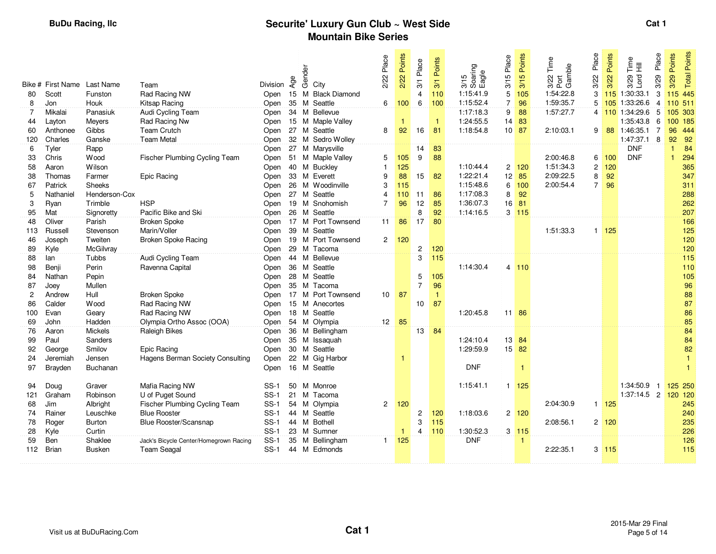|                | Bike # First Name | Last Name            | Team                                                     | Division | Age    | Gender | City                         | 2/22 Place      | Points<br>2/22 | Place<br>3/1   | Points<br>3/1 | 3/15<br>Soaring<br>Eagle | 3/15 Place     | Points<br>3/15     | Time<br>3/22 Tim<br>Port<br>Gamble | Place<br>3/22  | Points<br>3/22     | Place<br>$\frac{e}{1}$ $\equiv$<br>Lord<br>3/29<br>3/29 | Points<br>3/29 | Points<br>Total |
|----------------|-------------------|----------------------|----------------------------------------------------------|----------|--------|--------|------------------------------|-----------------|----------------|----------------|---------------|--------------------------|----------------|--------------------|------------------------------------|----------------|--------------------|---------------------------------------------------------|----------------|-----------------|
| 80             | Scott             | Funston              | Rad Racing NW                                            | Open     | $15$ M |        | <b>Black Diamond</b>         |                 |                | $\overline{4}$ | 110           | 1:15:41.9                | 5              | 105                | 1:54:22.8                          | 3              |                    | 115 1:30:33.1<br>3                                      |                | 115 445         |
| 8              | Jon               | Houk                 | Kitsap Racing                                            | Open     | 35 M   |        | Seattle                      | 6               | 100            | 6              | 100           | 1:15:52.4                | $\overline{7}$ | 96                 | 1:59:35.7                          | 5              |                    | 105 1:33:26.6<br>4                                      |                | 110 511         |
| $\overline{7}$ | Mikalai           | Panasiuk             | Audi Cycling Team                                        | Open     |        |        | 34 M Bellevue                |                 |                |                |               | 1:17:18.3                | 9              | 88                 | 1:57:27.7                          |                |                    | 4 110 1:34:29.6<br>5                                    |                | 105 303         |
| 44             | Layton            | Meyers               | Rad Racing Nw                                            | Open     |        |        | 15 M Maple Valley            |                 |                |                | $\mathbf{1}$  | 1:24:55.5                |                | 14 83              |                                    |                |                    | 1:35:43.8<br>6                                          |                | 100 185         |
| 60             | Anthonee          | Gibbs                | <b>Team Crutch</b>                                       | Open     |        |        | 27 M Seattle                 | 8               | 92             | 16             | 81            | 1:18:54.8                |                | $10$ 87            | 2:10:03.1                          | 9              |                    | 88 1:46:35.1<br>-7                                      |                | 96 444          |
| 120            | Charles           | Ganske               | <b>Team Metal</b>                                        | Open     |        |        | 32 M Sedro Wolley            |                 |                |                |               |                          |                |                    |                                    |                |                    | 1:47:37.1 8                                             | 92             | 92              |
| 6              | Tyler             | Rapp                 |                                                          | Open     |        |        | 27 M Marysville              |                 |                | 14             | 83            |                          |                |                    |                                    |                |                    | <b>DNF</b>                                              | $\mathbf{1}$   | 84              |
| 33             | Chris             | Wood                 | Fischer Plumbing Cycling Team                            | Open     |        |        | 51 M Maple Valley            | 5               | 105            | 9              | 88            |                          |                |                    | 2:00:46.8                          |                | 6 100              | <b>DNF</b>                                              | $\mathbf{1}$   | 294             |
| 58             | Aaron             | Wilson               |                                                          | Open     |        |        | 40 M Buckley                 | $\mathbf{1}$    | 125            |                |               | 1:10:44.4                |                | $2 \overline{120}$ | 1:51:34.3                          | $\overline{c}$ | 120                |                                                         |                | 365             |
| 38             | Thomas            | Farmer               | Epic Racing                                              | Open     |        |        | 33 M Everett                 | 9               | 88             | 15             | 82            | 1:22:21.4                |                | 12 85              | 2:09:22.5                          | 8              | 92                 |                                                         |                | 347             |
| 67             | Patrick           | Sheeks               |                                                          | Open     |        |        | 26 M Woodinville             | 3               | 115            |                |               | 1:15:48.6                |                | 6 100              | 2:00:54.4                          | 7 <sup>1</sup> | 96                 |                                                         |                | 311             |
| 5              | Nathaniel         | Henderson-Cox        |                                                          | Open     |        |        | 27 M Seattle                 | 4               | 110            | 11             | 86            | 1:17:08.3                | 8              | 92                 |                                    |                |                    |                                                         |                | 288             |
| 3              | Ryan              | Trimble              | <b>HSP</b>                                               | Open     |        |        | 19 M Snohomish               | $\overline{7}$  | 96             | 12             | 85            | 1:36:07.3                | 16             | 81                 |                                    |                |                    |                                                         |                | 262             |
| 95             | Mat               | Signoretty           | Pacific Bike and Ski                                     | Open     |        |        | 26 M Seattle                 |                 |                | 8              | 92            | 1:14:16.5                |                | $3 \overline{115}$ |                                    |                |                    |                                                         |                | 207             |
| 48             | Oliver            | Parish               | <b>Broken Spoke</b>                                      | Open     |        |        | 17 M Port Townsend           | 11              | 86             | 17             | 80            |                          |                |                    |                                    |                |                    |                                                         |                | 166             |
| 113            | Russell           | Stevenson            | Marin/Voller                                             | Open     |        |        | 39 M Seattle                 |                 |                |                |               |                          |                |                    | 1:51:33.3                          |                | $1 \overline{125}$ |                                                         |                | 125             |
| 46             | Joseph            | Tweiten              | <b>Broken Spoke Racing</b>                               | Open     |        |        | 19 M Port Townsend           | $\overline{2}$  | 120            |                |               |                          |                |                    |                                    |                |                    |                                                         |                | 120             |
| 89             | Kyle              | McGilvray            |                                                          | Open     |        |        | 29 M Tacoma                  |                 |                | $\overline{2}$ | 120           |                          |                |                    |                                    |                |                    |                                                         |                | 120             |
| 88             | lan               | Tubbs                | Audi Cycling Team                                        | Open     |        |        | 44 M Bellevue                |                 |                | 3              | 115           |                          |                |                    |                                    |                |                    |                                                         |                | 115             |
| 98             | Benji             | Perin                | Ravenna Capital                                          | Open     |        |        | 36 M Seattle                 |                 |                |                |               | 1:14:30.4                |                | 4 110              |                                    |                |                    |                                                         |                | 110             |
| 84             | Nathan            | Pepin                |                                                          | Open     |        |        | 28 M Seattle                 |                 |                | 5              | 105           |                          |                |                    |                                    |                |                    |                                                         |                | 105             |
| 87             | Joev              | Mullen               |                                                          | Open     |        |        | 35 M Tacoma                  |                 |                | $\overline{7}$ | 96            |                          |                |                    |                                    |                |                    |                                                         |                | 96              |
| $\overline{c}$ | Andrew            | Hull                 | <b>Broken Spoke</b>                                      | Open     |        |        | 17 M Port Townsend           | 10 <sup>1</sup> | 87             |                | $\mathbf{1}$  |                          |                |                    |                                    |                |                    |                                                         |                | 88              |
| 86             | Calder            | <b>Wood</b>          | Rad Racing NW                                            | Open     |        |        | 15 M Anecortes               |                 |                | 10             | 87            |                          |                |                    |                                    |                |                    |                                                         |                | 87              |
| 100            | Evan              | Geary                | Rad Racing NW                                            | Open     |        |        | 18 M Seattle                 |                 |                |                |               | 1:20:45.8                |                | 11 86              |                                    |                |                    |                                                         |                | 86              |
| 69             | John              | Hadden               | Olympia Ortho Assoc (OOA)                                | Open     |        |        | 54 M Olympia                 | 12 85           |                |                |               |                          |                |                    |                                    |                |                    |                                                         |                | 85              |
| 76             | Aaron             | Mickels              | Raleigh Bikes                                            | Open     |        |        | 36 M Bellingham              |                 |                | 13             | 84            |                          |                |                    |                                    |                |                    |                                                         |                | 84              |
| 99             | Paul              | Sanders              |                                                          | Open     |        |        | 35 M Issaquah                |                 |                |                |               | 1:24:10.4                |                | 13 84              |                                    |                |                    |                                                         |                | 84              |
| 92             | George            | Smilov               | Epic Racing                                              | Open     |        |        | 30 M Seattle                 |                 |                |                |               | 1:29:59.9                |                | 15 82              |                                    |                |                    |                                                         |                | 82              |
| 24             | Jeremiah          | Jensen               | Hagens Berman Society Consulting                         | Open     |        |        | 22 M Gig Harbor              |                 | $\vert$        |                |               | <b>DNF</b>               |                |                    |                                    |                |                    |                                                         |                | $\mathbf{1}$    |
| 97             | Brayden           | <b>Buchanan</b>      |                                                          | Open     |        |        | 16 M Seattle                 |                 |                |                |               |                          |                | -1                 |                                    |                |                    |                                                         |                | $\mathbf{1}$    |
|                | Doug              | Graver               |                                                          | $SS-1$   |        |        | 50 M Monroe                  |                 |                |                |               | 1:15:41.1                |                | $1 \overline{125}$ |                                    |                |                    | 1:34:50.9<br>-1                                         |                | 125 250         |
| 94             | Graham            | Robinson             | Mafia Racing NW                                          | $SS-1$   | 21     |        | M Tacoma                     |                 |                |                |               |                          |                |                    |                                    |                |                    | 1:37:14.5 2                                             |                | 120 120         |
| 121            |                   |                      | U of Puget Sound<br><b>Fischer Plumbing Cycling Team</b> | $SS-1$   |        |        |                              |                 |                |                |               |                          |                |                    | 2:04:30.9                          |                |                    |                                                         |                | 245             |
| 68<br>74       | Jim<br>Rainer     | Albright<br>Leuschke | <b>Blue Rooster</b>                                      | $SS-1$   |        |        | 54 M Olympia<br>44 M Seattle |                 | $2 \quad 120$  | $\overline{c}$ | 120           | 1:18:03.6                |                | $2 \quad 120$      |                                    |                | $1 \overline{125}$ |                                                         |                | 240             |
| 78             | Roger             | Burton               | Blue Rooster/Scansnap                                    | $SS-1$   |        |        | 44 M Bothell                 |                 |                | 3              | 115           |                          |                |                    | 2:08:56.1                          |                | $2 \, 120$         |                                                         |                | 235             |
| 28             | Kyle              | Curtin               |                                                          | $SS-1$   |        |        | 23 M Sumner                  |                 | $\mathbf{1}$   | 4              | 110           | 1:30:52.3                |                | $3 \quad 115$      |                                    |                |                    |                                                         |                | 226             |
| 59             | Ben               | Shaklee              | Jack's Bicycle Center/Homegrown Racing                   | $SS-1$   |        |        | 35 M Bellingham              | $\mathbf{1}$    | 125            |                |               | <b>DNF</b>               |                | 1                  |                                    |                |                    |                                                         |                | 126             |
| 112            | <b>Brian</b>      | <b>Busken</b>        | <b>Team Seagal</b>                                       | $SS-1$   |        |        | 44 M Edmonds                 |                 |                |                |               |                          |                |                    | 2:22:35.1                          |                | $3 \overline{115}$ |                                                         |                | 115             |
|                |                   |                      |                                                          |          |        |        |                              |                 |                |                |               |                          |                |                    |                                    |                |                    |                                                         |                |                 |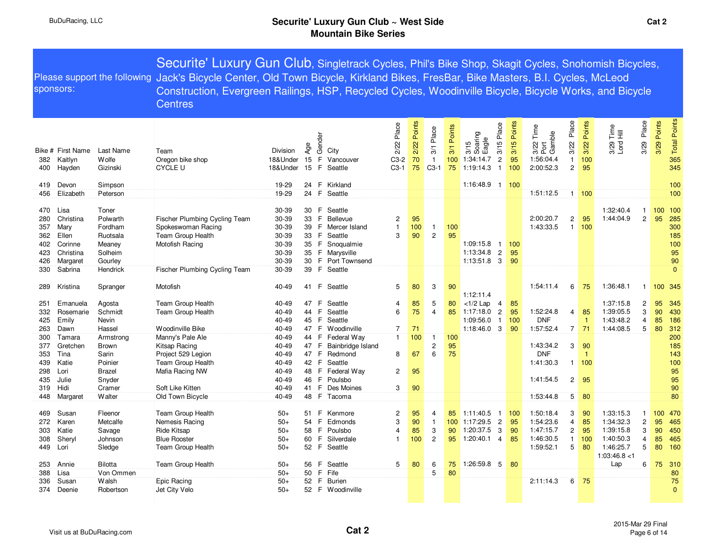| sponsors:                |                                        |                                          | Securite' Luxury Gun Club, Singletrack Cycles, Phil's Bike Shop, Skagit Cycles, Snohomish Bicycles,<br>Please support the following Jack's Bicycle Center, Old Town Bicycle, Kirkland Bikes, FresBar, Bike Masters, B.I. Cycles, McLeod<br>Construction, Evergreen Railings, HSP, Recycled Cycles, Woodinville Bicycle, Bicycle Works, and Bicycle<br><b>Centres</b> |                                  |                      |                    |                                                   |                                     |                         |                                     |                         |                                                                                                  |                          |                                                              |                                                 |                          |                                                |                |                                       |  |
|--------------------------|----------------------------------------|------------------------------------------|----------------------------------------------------------------------------------------------------------------------------------------------------------------------------------------------------------------------------------------------------------------------------------------------------------------------------------------------------------------------|----------------------------------|----------------------|--------------------|---------------------------------------------------|-------------------------------------|-------------------------|-------------------------------------|-------------------------|--------------------------------------------------------------------------------------------------|--------------------------|--------------------------------------------------------------|-------------------------------------------------|--------------------------|------------------------------------------------|----------------|---------------------------------------|--|
| 382<br>400               | Bike # First Name<br>Kaitlyn<br>Hayden | Last Name<br>Wolfe<br>Gizinski           | Team<br>Oregon bike shop<br><b>CYCLE U</b>                                                                                                                                                                                                                                                                                                                           | Division<br>18&Under<br>18&Under | Age<br>15<br>15      | Gender<br>F.<br>E. | City<br>Vancouver<br>Seattle                      | Place<br>2/22<br>$C3-2$<br>$C3-1$   | 2/22 Points<br>70<br>75 | 3/1 Place<br>$\mathbf{1}$<br>$C3-1$ | 3/1 Points<br>100<br>75 | 3/15 Place<br>3/15<br>Soaring<br>Eagle<br>$\sqrt{2}$<br>1:34:14.7<br>$\overline{1}$<br>1:19:14.3 | 3/15 Points<br>95<br>100 | Time<br>3/22 Tim<br>Port<br>Gamble<br>1:56:04.4<br>2:00:52.3 | Place<br>3/22<br>$\mathbf{1}$<br>$\overline{2}$ | 3/22 Points<br>100<br>95 | 3/29 Place<br>3/29 Time<br>Lord Hill           | Points<br>3/29 | <b>Total Points</b><br>365<br>345     |  |
| 419                      | Devon                                  | Simpson                                  |                                                                                                                                                                                                                                                                                                                                                                      | 19-29                            | 24                   | F                  | Kirkland                                          |                                     |                         |                                     |                         | 1:16:48.9 1                                                                                      | 100                      |                                                              |                                                 |                          |                                                |                | 100                                   |  |
| 456                      | Elizabeth                              | Peterson                                 |                                                                                                                                                                                                                                                                                                                                                                      | 19-29                            |                      |                    | 24 F Seattle                                      |                                     |                         |                                     |                         |                                                                                                  |                          | 1:51:12.5                                                    |                                                 | $1 \frac{100}{ }$        |                                                |                | 100                                   |  |
| 470<br>280<br>357<br>362 | Lisa<br>Christina<br>Mary<br>Ellen     | Toner<br>Polwarth<br>Fordham<br>Ruotsala | Fischer Plumbing Cycling Team<br>Spokeswoman Racing<br>Team Group Health                                                                                                                                                                                                                                                                                             | 30-39<br>30-39<br>30-39<br>30-39 | 30<br>33<br>39<br>33 | F<br>F.<br>F       | Seattle<br>Bellevue<br>F Mercer Island<br>Seattle | $\overline{c}$<br>$\mathbf{1}$<br>3 | 95<br>100<br>90         | $\mathbf{1}$<br>$\overline{2}$      | 100<br>95               |                                                                                                  |                          | 2:00:20.7<br>1:43:33.5                                       | 2<br>$\mathbf{1}$                               | 95<br>100                | 1:32:40.4<br>-1<br>1:44:04.9<br>$\overline{2}$ |                | 100<br>100<br>95<br>285<br>300<br>185 |  |
| 402                      | Corinne                                | Meaney                                   | Motofish Racing                                                                                                                                                                                                                                                                                                                                                      | 30-39                            | 35                   | F                  | Snoqualmie                                        |                                     |                         |                                     |                         | 1:09:15.8<br>$\overline{1}$                                                                      | 100                      |                                                              |                                                 |                          |                                                |                | 100                                   |  |
| 423                      | Christina                              | Solheim                                  |                                                                                                                                                                                                                                                                                                                                                                      | 30-39                            | 35<br>30             | F.                 | Marysville<br>F Port Townsend                     |                                     |                         |                                     |                         | $\overline{2}$<br>1:13:34.8<br>1:13:51.8<br>$\overline{3}$                                       | 95<br>90                 |                                                              |                                                 |                          |                                                |                | 95<br>90                              |  |
| 426<br>330               | Margaret<br>Sabrina                    | Gourley<br>Hendrick                      | Fischer Plumbing Cycling Team                                                                                                                                                                                                                                                                                                                                        | 30-39<br>30-39                   | 39                   | F.                 | Seattle                                           |                                     |                         |                                     |                         |                                                                                                  |                          |                                                              |                                                 |                          |                                                |                | $\Omega$                              |  |
|                          |                                        |                                          |                                                                                                                                                                                                                                                                                                                                                                      |                                  |                      |                    |                                                   |                                     |                         |                                     |                         |                                                                                                  |                          |                                                              |                                                 |                          |                                                |                |                                       |  |
| 289                      | Kristina                               | Spranger                                 | Motofish                                                                                                                                                                                                                                                                                                                                                             | 40-49                            | 41 F                 |                    | Seattle                                           | 5                                   | 80                      | 3                                   | 90                      | 1:12:11.4                                                                                        |                          | 1:54:11.4                                                    | 6                                               | 75                       | 1:36:48.1<br>$\mathbf{1}$                      |                | 100 345                               |  |
| 251                      | Emanuela                               | Agosta                                   | Team Group Health                                                                                                                                                                                                                                                                                                                                                    | 40-49                            | 47                   | F                  | Seattle                                           | 4                                   | 85                      | 5                                   | 80                      | $<$ 1/2 Lap<br>$\overline{4}$                                                                    | 85                       |                                                              |                                                 |                          | 1:37:15.8<br>$\overline{c}$                    |                | 95<br>345                             |  |
| 332                      | Rosemarie                              | Schmidt                                  | Team Group Health                                                                                                                                                                                                                                                                                                                                                    | 40-49                            | 44                   | F                  | Seattle                                           | 6                                   | 75                      | $\overline{4}$                      | 85                      | $\overline{c}$<br>1:17:18.0                                                                      | 95                       | 1:52:24.8                                                    | 4                                               | 85                       | 1:39:05.5<br>3                                 |                | 90<br>430                             |  |
| 425                      | Emily                                  | Nevin                                    |                                                                                                                                                                                                                                                                                                                                                                      | 40-49                            | 45                   | $\mathsf{F}$       | Seattle                                           |                                     |                         |                                     |                         | 1:09:56.0<br>$\mathbf{1}$                                                                        | 100                      | <b>DNF</b>                                                   |                                                 | $\overline{1}$           | 1:43:48.2<br>$\overline{4}$                    | 85             | 186                                   |  |
| 263                      | Dawn                                   | Hassel                                   | Woodinville Bike                                                                                                                                                                                                                                                                                                                                                     | 40-49                            | 47                   | -F                 | Woodinville                                       | 7                                   | 71                      |                                     |                         | $1:18:46.0$ 3                                                                                    | 90                       | 1:57:52.4                                                    | $\overline{7}$                                  | 71                       | 1:44:08.5<br>$\overline{5}$                    | 80             | 312                                   |  |
| 300                      | Tamara                                 | Armstrong                                | Manny's Pale Ale                                                                                                                                                                                                                                                                                                                                                     | 40-49                            | 44 <sup>°</sup>      | F.                 | Federal Way                                       | $\mathbf{1}$                        | 100                     | 1                                   | 100                     |                                                                                                  |                          |                                                              |                                                 |                          |                                                |                | 200                                   |  |
| 377<br>353<br>439        | Gretchen<br>Tina<br>Katie              | Brown<br>Sarin<br>Poinier                | Kitsap Racing<br>Project 529 Legion<br>Team Group Health                                                                                                                                                                                                                                                                                                             | 40-49<br>40-49<br>40-49          | 47<br>47 F<br>42     | F<br>F.            | Bainbridge Island<br>Redmond<br>Seattle           | 8                                   | 67                      | $\overline{c}$<br>6                 | 95<br>75                |                                                                                                  |                          | 1:43:34.2<br><b>DNF</b><br>1:41:30.3                         | 3                                               | 90<br>-1<br>1:100        |                                                |                | 185<br>143<br>100                     |  |
| 298                      | Lori                                   | <b>Brazel</b>                            | Mafia Racing NW                                                                                                                                                                                                                                                                                                                                                      | 40-49                            | 48                   | F.                 | Federal Way                                       | $\mathbf{2}$                        | 95                      |                                     |                         |                                                                                                  |                          |                                                              |                                                 |                          |                                                |                | 95                                    |  |
| 435                      | Julie                                  | Snyder                                   |                                                                                                                                                                                                                                                                                                                                                                      | 40-49                            | 46                   | F                  | Poulsbo                                           |                                     |                         |                                     |                         |                                                                                                  |                          | 1:41:54.5                                                    | 2                                               | 95                       |                                                |                | 95                                    |  |
| 319                      | Hidi                                   | Cramer                                   | Soft Like Kitten                                                                                                                                                                                                                                                                                                                                                     | 40-49                            | 41                   | F                  | Des Moines                                        | 3                                   | 90                      |                                     |                         |                                                                                                  |                          |                                                              |                                                 |                          |                                                |                | 90                                    |  |
| 448                      | Margaret                               | Walter                                   | Old Town Bicycle                                                                                                                                                                                                                                                                                                                                                     | 40-49                            |                      |                    | 48 F Tacoma                                       |                                     |                         |                                     |                         |                                                                                                  |                          | 1:53:44.8                                                    | 5                                               | 80                       |                                                |                | 80                                    |  |
| 469                      | Susan                                  | Fleenor                                  | Team Group Health                                                                                                                                                                                                                                                                                                                                                    | $50+$                            | 51                   | F                  | Kenmore                                           | $\overline{c}$                      | 95                      | 4                                   | 85                      | 1:11:40.5<br>$\overline{1}$                                                                      | 100                      | 1:50:18.4                                                    | 3                                               | 90                       | 1:33:15.3<br>1                                 |                | <b>470</b><br>100                     |  |
| 272                      | Karen                                  | Metcalfe                                 | Nemesis Racing                                                                                                                                                                                                                                                                                                                                                       | $50+$                            | 54                   | F.                 | Edmonds                                           | 3                                   | 90                      | $\mathbf{1}$                        |                         | $\overline{c}$<br>100 1:17:29.5                                                                  | 95                       | 1:54:23.6                                                    | $\overline{4}$                                  | 85                       | 1:34:32.3<br>$\overline{c}$                    | 95             | 465                                   |  |
| 303                      | Katie                                  | Savage                                   | Ride Kitsap                                                                                                                                                                                                                                                                                                                                                          | $50+$                            | 58                   | F                  | Poulsbo                                           | $\overline{4}$                      | 85                      | 3                                   | 90                      | 1:20:37.5<br>3                                                                                   | 90                       | 1:47:15.7                                                    | 2                                               | 95                       | 1:39:15.8<br>3                                 |                | 90<br>450                             |  |
| 308                      | Sheryl                                 | Johnson                                  | <b>Blue Rooster</b>                                                                                                                                                                                                                                                                                                                                                  | $50+$                            | 60                   | F                  | Silverdale                                        | $\mathbf{1}$                        | 100                     | $\overline{c}$                      | 95                      | $1:20:40.1$ 4                                                                                    | 85                       | 1:46:30.5                                                    | 1                                               | 100                      | 1:40:50.3<br>$\overline{4}$                    | 85             | 465                                   |  |
| 449                      | Lori                                   | Sledge                                   | Team Group Health                                                                                                                                                                                                                                                                                                                                                    | $50+$                            | 52                   | F                  | Seattle                                           |                                     |                         |                                     |                         |                                                                                                  |                          | 1:59:52.1                                                    | 5                                               | 80                       | 5<br>1:46:25.7                                 | 80             | 160                                   |  |
|                          |                                        |                                          |                                                                                                                                                                                                                                                                                                                                                                      |                                  |                      |                    |                                                   |                                     |                         |                                     |                         |                                                                                                  |                          |                                                              |                                                 |                          | 1:03:46.8<1                                    |                |                                       |  |
| 253                      | Annie                                  | <b>Bilotta</b>                           | Team Group Health                                                                                                                                                                                                                                                                                                                                                    | $50+$                            | 56                   | F.                 | Seattle                                           | 5                                   | 80                      | 6                                   | 75                      | 1:26:59.8 5                                                                                      | 80                       |                                                              |                                                 |                          | Lap                                            | 6<br>75        | 310                                   |  |
| 388                      | Lisa                                   | Von Ommen                                |                                                                                                                                                                                                                                                                                                                                                                      | $50+$                            | 50                   |                    | F Fife                                            |                                     |                         | $\overline{5}$                      | 80                      |                                                                                                  |                          |                                                              |                                                 |                          |                                                |                | 80                                    |  |
| 336                      | Susan                                  | Walsh                                    | Epic Racing                                                                                                                                                                                                                                                                                                                                                          | $50+$                            | 52                   | F.                 | <b>Burien</b>                                     |                                     |                         |                                     |                         |                                                                                                  |                          | 2:11:14.3                                                    | 6                                               | 75                       |                                                |                | 75                                    |  |
| 374                      | Deenie                                 | Robertson                                | Jet City Velo                                                                                                                                                                                                                                                                                                                                                        | $50+$                            |                      |                    | 52 F Woodinville                                  |                                     |                         |                                     |                         |                                                                                                  |                          |                                                              |                                                 |                          |                                                |                | $\mathbf{0}$                          |  |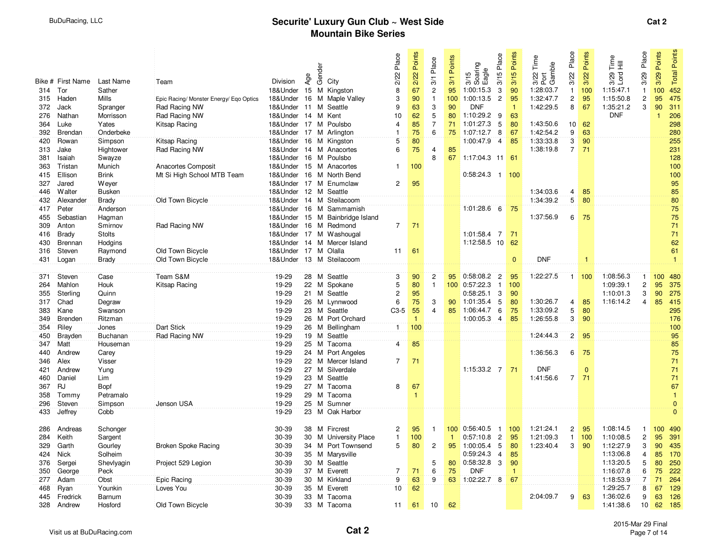|     |                   |               |                                         |                         |                 | Gender |                                 | Place          | 2/22 Points  | 3/1 Place                 | Points       | 3/15 Place<br>3/15<br>Soaring<br>TEagle | Points         | Time<br>3/22 Tim<br>Port<br>Gamble | Place                   | Points   | $\frac{e}{E}$ $\equiv$ | Place          | Points  | Points         |
|-----|-------------------|---------------|-----------------------------------------|-------------------------|-----------------|--------|---------------------------------|----------------|--------------|---------------------------|--------------|-----------------------------------------|----------------|------------------------------------|-------------------------|----------|------------------------|----------------|---------|----------------|
|     | Bike # First Name | Last Name     | Team                                    | Division                | Age             |        | City                            | 2/22           |              |                           | 3/1          |                                         | 3/15           |                                    | 3/22                    | 3/22     | Lord<br>3/29           | 3/29           | 3/29    | Total          |
| 314 | Tor               | Sather        |                                         | 18&Under 15 M Kingston  |                 |        |                                 | 8              | 67           | $\overline{c}$            | 95           | 1:00:15.3<br>3                          | 90             | 1:28:03.7                          | $\mathbf{1}$            | 100      | 1:15:47.1              | $\mathbf{1}$   | 100     | 452            |
| 315 | Haden             | <b>Mills</b>  | Epic Racing/ Monster Energy/ Eqo Optics |                         |                 |        | 18&Under 16 M Maple Valley      | 3              | 90           | $\mathbf{1}$              | 100          | $\overline{c}$<br>1:00:13.5             | 95             | 1:32:47.7                          | $\overline{\mathbf{c}}$ | 95       | 1:15:50.8              | $\mathbf{2}$   | 95      | 475            |
| 372 | Jack              | Spranger      | Rad Racing NW                           | 18&Under 11 M Seattle   |                 |        |                                 | 9              | 63           | $\ensuremath{\mathsf{3}}$ | 90           | <b>DNF</b>                              | $\overline{1}$ | 1:42:29.5                          | 8                       | 67       | 1:35:21.2              | 3              | 90      | 311            |
| 276 | Nathan            | Morrisson     | Rad Racing NW                           | 18&Under 14 M Kent      |                 |        |                                 | 10             | 62           | 5                         | 80           | 1:10:29.2<br>9                          | 63             |                                    |                         |          | <b>DNF</b>             |                |         | 206            |
| 364 | Luke              | Yates         | Kitsap Racing                           | 18&Under 17 M Poulsbo   |                 |        |                                 | $\overline{4}$ | 85           | 7                         | 71           | 1:01:27.3<br>5                          | 80             | 1:43:50.6                          | 10                      | 62       |                        |                |         | 298            |
| 392 | Brendan           | Onderbeke     |                                         | 18&Under 17 M Arlington |                 |        |                                 | 1              | 75           | 6                         | 75           | 1:07:12.7<br>8                          | 67             | 1:42:54.2                          | $\overline{9}$          | 63       |                        |                |         | 280            |
| 420 | Rowan             | Simpson       | Kitsap Racing                           | 18&Under 16 M Kingston  |                 |        |                                 | $\overline{5}$ | 80           |                           |              | 1:00:47.9<br>$\overline{4}$             | 85             | 1:33:33.8                          | $\overline{3}$          | 90       |                        |                |         | 255            |
| 313 | Jake              | Hightower     | Rad Racing NW                           | 18&Under 14 M Anacortes |                 |        |                                 | $\overline{6}$ | 75           | $\overline{4}$            | 85           |                                         |                | 1:38:19.8                          | $\overline{7}$          | 71       |                        |                |         | 231            |
| 381 | Isaiah            | Swayze        |                                         | 18&Under 16 M Poulsbo   |                 |        |                                 |                |              | 8                         | 67           | $1:17:04.3$ 11                          | 61             |                                    |                         |          |                        |                |         | 128            |
| 363 | Tristan           | Munich        | Anacortes Composit                      | 18&Under 15 M Anacortes |                 |        |                                 | 1              | 100          |                           |              |                                         |                |                                    |                         |          |                        |                |         | 100            |
| 415 | Ellison           | <b>Brink</b>  | Mt Si High School MTB Team              |                         |                 |        | 18&Under 16 M North Bend        |                |              |                           |              | $0:58:24.3$ 1                           | 100            |                                    |                         |          |                        |                |         | 100            |
| 327 | Jared             | Wever         |                                         |                         |                 |        | 18&Under 17 M Enumclaw          | $\mathbf{2}$   | 95           |                           |              |                                         |                |                                    |                         |          |                        |                |         | 95             |
| 446 | <b>Walter</b>     | <b>Busken</b> |                                         | 18&Under 12 M Seattle   |                 |        |                                 |                |              |                           |              |                                         |                | 1:34:03.6                          | 4                       | 85       |                        |                |         | 85             |
| 432 | Alexander         | <b>Brady</b>  | Old Town Bicycle                        |                         |                 |        | 18&Under 14 M Steilacoom        |                |              |                           |              |                                         |                | 1:34:39.2                          | $5^{\circ}$             | 80       |                        |                |         | 80             |
| 417 | Peter             | Anderson      |                                         |                         |                 |        | 18&Under 16 M Sammamish         |                |              |                           |              | $1:01:28.6$ 6                           | 75             |                                    |                         |          |                        |                |         | 75             |
| 455 | Sebastian         | Hagman        |                                         |                         |                 |        | 18&Under 15 M Bainbridge Island |                |              |                           |              |                                         |                | 1:37:56.9                          | 6                       | 75       |                        |                |         | 75             |
| 309 | Anton             | Smirnov       | Rad Racing NW                           | 18&Under 16 M Redmond   |                 |        |                                 | $\overline{7}$ | 71           |                           |              |                                         |                |                                    |                         |          |                        |                |         | 71             |
| 416 | <b>Brady</b>      | <b>Stolts</b> |                                         |                         |                 |        | 18&Under 17 M Washougal         |                |              |                           |              | 1:01:58.4 7                             | 71             |                                    |                         |          |                        |                |         | 71             |
| 430 | Brennan           | Hodgins       |                                         |                         |                 |        | 18& Under 14 M Mercer Island    |                |              |                           |              | 1:12:58.5 10                            | 62             |                                    |                         |          |                        |                |         | 62             |
| 316 | Steven            | Raymond       | Old Town Bicycle                        | 18&Under 17 M Olalla    |                 |        |                                 | 11             | 61           |                           |              |                                         |                |                                    |                         |          |                        |                |         | 61             |
| 431 | Logan             | <b>Brady</b>  | Old Town Bicycle                        |                         |                 |        | 18&Under 13 M Steilacoom        |                |              |                           |              |                                         | $\mathbf{0}$   | <b>DNF</b>                         |                         | -1       |                        |                |         | $\overline{1}$ |
|     |                   |               |                                         |                         |                 |        |                                 |                |              |                           |              |                                         |                |                                    |                         |          |                        |                |         |                |
| 371 | Steven            | Case          | Team S&M                                | 19-29                   |                 | 28 M   | Seattle                         | 3              | 90           | $\overline{2}$            | 95           | $0:58:08.2$ 2                           | 95             | 1:22:27.5                          | $\mathbf{1}$            | 100      | 1:08:56.3              | $\mathbf{1}$   | 100     | 480            |
| 264 | Mahlon            | Houk          | Kitsap Racing                           | 19-29                   |                 |        | 22 M Spokane                    | 5              | 80           | $\mathbf{1}$              |              | 100 0:57:22.3<br>$\overline{1}$         | 100            |                                    |                         |          | 1:09:39.1              | $\overline{2}$ | 95      | 375            |
| 355 | Sterling          | Quinn         |                                         | 19-29                   |                 |        | 21 M Seattle                    | $\mathbf{2}$   | 95           |                           |              | 3<br>0:58:25.1                          | 90             |                                    |                         |          | 1:10:01.3              | 3              | 90      | 275            |
| 317 | Chad              | Degraw        |                                         | 19-29                   |                 |        | 26 M Lynnwood                   | 6              | 75           | 3                         | 90           | 1:01:35.4<br>5                          | 80             | 1:30:26.7                          | $\overline{4}$          | 85       | 1:16:14.2              | $\overline{4}$ | 85      | 415            |
| 383 | Kane              | Swanson       |                                         | 19-29                   |                 |        | 23 M Seattle                    | $C3-5$         | 55           | $\overline{4}$            | 85           | 1:06:44.7<br>6                          | 75             | 1:33:09.2                          | 5                       | 80       |                        |                |         | 295            |
| 349 | Brenden           | Ritzman       |                                         | 19-29                   |                 |        | 26 M Port Orchard               |                | $\mathbf{1}$ |                           |              | 1:00:05.3<br>$\overline{4}$             | 85             | 1:26:55.8                          | 3                       | 90       |                        |                |         | 176            |
| 354 | Riley             | Jones         | Dart Stick                              | 19-29                   |                 |        | 26 M Bellingham                 | $\mathbf{1}$   | 100          |                           |              |                                         |                |                                    |                         |          |                        |                |         | 100            |
| 450 | Brayden           | Buchanan      | Rad Racing NW                           | 19-29                   |                 |        | 19 M Seattle                    |                |              |                           |              |                                         |                | 1:24:44.3                          | $\overline{2}$          | 95       |                        |                |         | 95             |
| 347 | Matt              | Houseman      |                                         | 19-29                   | 25              |        | M Tacoma                        | $\overline{4}$ | 85           |                           |              |                                         |                |                                    |                         |          |                        |                |         | 85             |
| 440 | Andrew            | Carey         |                                         | 19-29                   |                 |        | 24 M Port Angeles               |                |              |                           |              |                                         |                | 1:36:56.3                          | 6                       | 75       |                        |                |         | 75             |
| 346 | Alex              | Visser        |                                         | 19-29                   |                 |        | 22 M Mercer Island              | $\overline{7}$ | 71           |                           |              |                                         |                |                                    |                         |          |                        |                |         | 71             |
| 421 | Andrew            | Yung          |                                         | 19-29                   | 27              | M      | Silverdale                      |                |              |                           |              | 1:15:33.2 7                             | 71             | <b>DNF</b>                         |                         | $\Omega$ |                        |                |         | 71             |
| 460 | Daniel            | Lim           |                                         | 19-29                   |                 |        | 23 M Seattle                    |                |              |                           |              |                                         |                | 1:41:56.6                          | $7^{\circ}$             | 71       |                        |                |         | 71             |
| 367 | <b>RJ</b>         | Bopf          |                                         | 19-29                   |                 | 27 M   | Tacoma                          | 8              | 67           |                           |              |                                         |                |                                    |                         |          |                        |                |         | 67             |
| 358 | Tommy             | Petramalo     |                                         | 19-29                   | 29              | M      | Tacoma                          |                | $\mathbf{1}$ |                           |              |                                         |                |                                    |                         |          |                        |                |         | $\overline{1}$ |
| 296 | Steven            | Simpson       | Jenson USA                              | 19-29                   |                 | $25$ M | Sumner                          |                |              |                           |              |                                         |                |                                    |                         |          |                        |                |         | $\mathbf{0}$   |
| 433 | Jeffrey           | Cobb          |                                         | 19-29                   |                 |        | 23 M Oak Harbor                 |                |              |                           |              |                                         |                |                                    |                         |          |                        |                |         | $\mathbf{0}$   |
|     |                   |               |                                         |                         |                 |        |                                 |                |              |                           |              |                                         |                |                                    |                         |          |                        |                |         |                |
| 286 | Andreas           | Schonger      |                                         | 30-39                   |                 |        | 38 M Fircrest                   | $\mathbf{2}$   | 95           | $\mathbf{1}$              |              | 100 0:56:40.5<br>$\mathbf{1}$           | 100            | 1:21:24.1                          | $\overline{c}$          | 95       | 1:08:14.5              | -1             | 100 490 |                |
| 284 | Keith             | Sargent       |                                         | 30-39                   | 30              |        | M University Place              | $\mathbf{1}$   | 100          |                           | $\mathbf{1}$ | 0:57:10.8<br>$\overline{2}$             | 95             | 1:21:09.3                          | $\mathbf{1}$            | 100      | 1:10:08.5              | $\sqrt{2}$     | 95      | 391            |
| 329 | Garth             | Gourley       | <b>Broken Spoke Racing</b>              | 30-39                   |                 |        | 34 M Port Townsend              | 5              | 80           | 2                         | 95           | 1:00:05.4<br>5                          | 80             | 1:23:40.4                          | 3                       | 90       | 1:12:27.9              | 3              | 90      | 435            |
| 424 | Nick              | Solheim       |                                         | 30-39                   |                 |        | 35 M Marysville                 |                |              |                           |              | 0:59:24.3<br>$\overline{4}$             | 85             |                                    |                         |          | 1:13:06.8              | $\overline{4}$ | 85      | 170            |
| 376 | Sergei            | Shevlyagin    | Project 529 Legion                      | 30-39                   | 30              |        | M Seattle                       |                |              | 5                         | 80           | $0:58:32.8$ 3                           | 90             |                                    |                         |          | 1:13:20.5              | 5              | 80      | 250            |
| 350 | George            | Peck          |                                         | 30-39                   |                 |        | 37 M Everett                    | 7              | 71           | 6                         | 75           | <b>DNF</b>                              | $\overline{1}$ |                                    |                         |          | 1:16:07.8              | 6              | 75      | 222            |
| 277 | Adam              | Obst          | Epic Racing                             | 30-39                   | 30 <sup>°</sup> | M      | Kirkland                        | $\mathsf g$    | 63           | $\overline{9}$            | 63           | 1:02:22.7<br>8                          | 67             |                                    |                         |          | 1:18:53.9              | $\overline{7}$ | 71      | 264            |
| 468 | Ryan              | Younkin       | Loves You                               | 30-39                   |                 |        | 35 M Everett                    | 10             | 62           |                           |              |                                         |                |                                    |                         |          | 1:29:25.7              | 8              | 67      | 129            |
| 445 | Fredrick          | Barnum        |                                         | 30-39                   |                 |        | 33 M Tacoma                     |                |              |                           |              |                                         |                | 2:04:09.7                          | 9                       | 63       | 1:36:02.6              | 9              | 63      | 126            |
| 328 | Andrew            | Hosford       | Old Town Bicycle                        | 30-39                   |                 |        | 33 M Tacoma                     | 11             | 61           | 10                        | 62           |                                         |                |                                    |                         |          | 1:41:38.6              | 10             | 62      | 185            |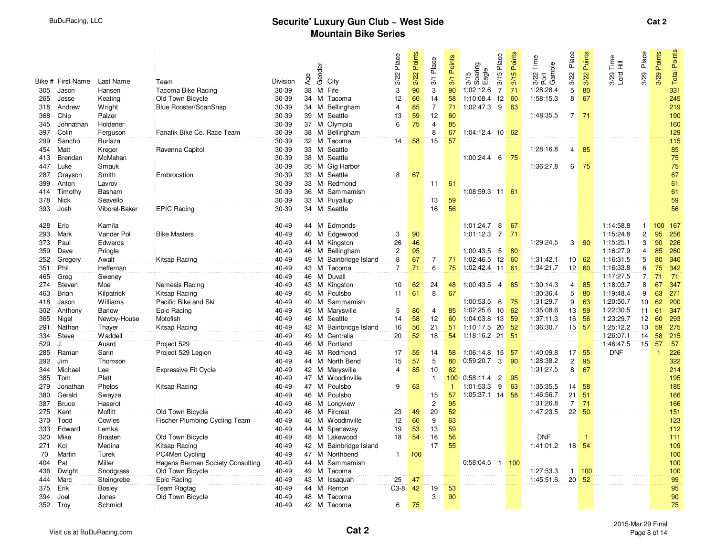|            |                   |                          |                                  |                |                 |        |                             | 2/22 Place     | 2/22 Points     | 3/1 Place            | Points       | 3/15 Place                  | Points | Time                       | Place          | Points               | $\stackrel{\mathsf{e}}{\underset{\smash{\overline{\mathsf{H}}}}{\mathsf{E}}}\equiv$ | Place          | Points       | Points     |
|------------|-------------------|--------------------------|----------------------------------|----------------|-----------------|--------|-----------------------------|----------------|-----------------|----------------------|--------------|-----------------------------|--------|----------------------------|----------------|----------------------|-------------------------------------------------------------------------------------|----------------|--------------|------------|
|            |                   |                          |                                  |                |                 | Gender |                             |                |                 |                      |              | 3/15<br>Soaring<br>Eagle    |        | 3/22 Tim<br>Port<br>Gamble |                |                      |                                                                                     |                |              | Total I    |
|            | Bike # First Name | Last Name                | Team                             | Division       | Age             |        | City                        |                |                 |                      | 3/1          |                             | 3/15   |                            | 3/22           | 3/22                 | 3/29<br>Lord                                                                        | 3/29           | 3/29         |            |
| 305        | Jason             | Hansen                   | Tacoma Bike Racing               | 30-39          | 38              |        | M Fife                      | 3              | 90              | $\overline{3}$       | 90           | 1:02:12.6<br>$\overline{7}$ | 71     | 1:28:28.4                  | 5              | 80                   |                                                                                     |                |              | 331        |
| 265        | Jesse             | Keating                  | Old Town Bicycle                 | 30-39          | 34              |        | M Tacoma                    | 12             | 60              | 14                   | 58           | 12<br>1:10:08.4             | 60     | 1:58:15.3                  | 8              | 67                   |                                                                                     |                |              | 245        |
| 318        | Andrew            | <b>W</b> right           | Blue Rooster/ScanSnap            | 30-39          |                 |        | 34 M Bellingham             | $\overline{4}$ | 85              | $\overline{7}$       | 71           | 1:02:47.3 9                 | 63     |                            |                |                      |                                                                                     |                |              | 219        |
| 368        | Chip              | Palzer                   |                                  | 30-39          | 39              |        | M Seattle                   | 13             | 59              | 12                   | 60           |                             |        | 1:48:35.5                  |                | $7 \mid 71$          |                                                                                     |                |              | 190        |
| 345        | Johnathan         | Holdener                 |                                  | 30-39          |                 |        | 37 M Olympia                | $\mathbf 6$    | 75              | $\overline{4}$       | 85           |                             |        |                            |                |                      |                                                                                     |                |              | 160        |
| 397        | Colin             | Ferguson                 | Fanatik Bike Co. Race Team       | 30-39          |                 |        | 38 M Bellingham             |                |                 | $\overline{8}$       | 67           | 1:04:12.4 10 62             |        |                            |                |                      |                                                                                     |                |              | 129        |
| 299        | Sancho            | <b>Burlaza</b>           |                                  | 30-39          | 32 <sup>3</sup> |        | M Tacoma                    | 14             | 58              | 15                   | 57           |                             |        |                            |                |                      |                                                                                     |                |              | 115        |
| 454        | Matt              | Kreger                   | Ravenna Capitol                  | 30-39          |                 |        | 33 M Seattle                |                |                 |                      |              |                             |        | 1:28:16.8                  | $\overline{4}$ | 85                   |                                                                                     |                |              | 85         |
| 413        | Brendan           | McMahan                  |                                  | 30-39          |                 |        | 38 M Seattle                |                |                 |                      |              | $1:00:24.4$ 6               | 75     |                            |                |                      |                                                                                     |                |              | 75         |
| 447        | Luke              | Smauk                    |                                  | 30-39          |                 |        | 35 M Gig Harbor             |                |                 |                      |              |                             |        | 1:36:27.8                  | 6              | 75                   |                                                                                     |                |              | 75         |
| 287        | Grayson           | Smith                    | Embrocation                      | 30-39          |                 |        | 33 M Seattle                | 8              | 67              |                      |              |                             |        |                            |                |                      |                                                                                     |                |              | 67         |
| 399        | Anton             | Lavrov                   |                                  | 30-39          | 33              |        | M Redmond                   |                |                 | 11                   | 61           |                             |        |                            |                |                      |                                                                                     |                |              | 61         |
| 414        | Timothy           | Basham                   |                                  | 30-39          |                 |        | 36 M Sammamish              |                |                 |                      |              | 1:08:59.3 11 61             |        |                            |                |                      |                                                                                     |                |              | 61         |
| 378        | <b>Nick</b>       | Seavello                 |                                  | 30-39          |                 |        | 33 M Puyallup               |                |                 | 13                   | 59           |                             |        |                            |                |                      |                                                                                     |                |              | 59         |
| 393        | Josh              | Viborel-Baker            | <b>EPIC Racing</b>               | 30-39          | 34 <sup>°</sup> |        | M Seattle                   |                |                 | 16                   | 56           |                             |        |                            |                |                      |                                                                                     |                |              | 56         |
| 428        | Eric              | Kamila                   |                                  | 40-49          |                 |        | 44 M Edmonds                |                |                 |                      |              | 1:01:24.7<br>8              | 67     |                            |                |                      | 1:14:58.8                                                                           | $\mathbf{1}$   | 100          | 167        |
| 293        | Mark              | Vander Pol               | <b>Bike Masters</b>              | 40-49          | 40              |        | M Edgewood                  | 3              | 90              |                      |              | $1:01:12.3$ 7               | 71     |                            |                |                      | 1:15:24.8                                                                           | $\overline{c}$ | 95           | 256        |
| 373        | Paul              | Edwards                  |                                  | 40-49          |                 |        | 44 M Kingston               | 26             | 46              |                      |              |                             |        | 1:29:24.5                  | 3              | 90                   | 1:15:25.1                                                                           | 3              | 90           | 226        |
| 359        | Dave              | Pringle                  |                                  | 40-49          | 46              |        | M Bellingham                | 2              | 95              |                      |              | 1:00:43.5 5                 | 80     |                            |                |                      | 1:16:27.9                                                                           | $\overline{4}$ | 85           | 260        |
| 252        | Gregory           | Awalt                    | Kitsap Racing                    | 40-49          | 49              |        | M Bainbridge Island         | 8              | 67              | $\overline{7}$       | 71           | 1:02:46.5 12                | 60     | 1:31:42.1                  |                | $10 \frac{1}{10}$ 62 | 1:16:31.5                                                                           | 5              | 80           | 340        |
| 351        | Phil              | Heffernan                |                                  | $40 - 49$      |                 |        | 43 M Tacoma                 | 7              | $\overline{71}$ | 6                    | 75           | 1:02:42.4 11                | 61     | 1:34:21.7                  |                | $12$ 60              | 1:16:33.8                                                                           | 6              | 75           | 342        |
| 465        | Greg              | Sweney                   |                                  | 40-49          | 46              |        | M Duvall                    |                |                 |                      |              |                             |        |                            |                |                      | 1:17:27.5                                                                           | $\overline{7}$ | 71           | 71         |
| 274        | Steven            | Moe                      | Nemesis Racing                   | 40-49          |                 |        | 43 M Kingston               | 10             | 62              | 24                   | 48           | 1:00:43.5 4                 | 85     | 1:30:14.3                  | 4              | 85                   | 1:18:03.7                                                                           | 8              | 67           | 347        |
| 463        | <b>Brian</b>      | Kilpatrick               | Kitsap Racing                    | 40-49          |                 |        | 45 M Poulsbo                | 11             | 61              | 8                    | 67           |                             |        | 1:30:36.4                  | 5              | 80                   | 1:19:48.4                                                                           | 9              | 63           | 271        |
| 418        | Jason             | Williams                 | Pacific Bike and Ski             | 40-49          | 40              |        | M Sammamish                 |                |                 |                      |              | 1:00:53.5 6                 | 75     | 1:31:29.7                  | 9              | 63                   | 1:20:50.7                                                                           | 10             | 62           | 200        |
| 302        | Anthony           | <b>Barlow</b>            | Epic Racing                      | 40-49          |                 |        | 45 M Marysville             | 5              | 80              | $\overline{4}$       | 85           | 1:02:25.6<br>10             | 62     | 1:35:08.6                  | 13             | 59                   | 1:22:30.5                                                                           | 11             | 61           | 347        |
| 365        | Nigel             | Newby-House              | Motofish                         | 40-49          |                 |        | 46 M Seattle                | 14             | 58              | 12                   | 60           | 1:04:03.8 13                | 59     | 1:37:11.3                  | 16             | 56                   | 1:23:29.7                                                                           | 12             | 60           | 293        |
| 291        | Nathan            | Thayer                   | Kitsap Racing                    | 40-49          |                 |        | 42 M Bainbridge Island      | 16             | 56              | 21                   | 51           | 1:10:17.5 20                | 52     | 1:36:30.7                  | 15             | 57                   | 1:25:12.2                                                                           | 13             | 59           | 275        |
| 334        | Steve             | Waddell                  |                                  | 40-49          |                 |        | 49 M Centralia              | 20             | 52              | 18                   | 54           | $1:18:16.2$ 21              | 51     |                            |                |                      | 1:26:07.1                                                                           | 14             | 58           | 215        |
| 529        | J.                | Auard                    | Project 529                      | 40-49          | 46              |        | M Portland                  |                |                 |                      |              |                             |        |                            |                |                      | 1:46:47.5                                                                           | 15             | 57           | 57         |
| 285        | Raman             | Sarin                    | Project 529 Legion               | 40-49          |                 |        | 46 M Redmond                | 17             | 55              | 14                   | 58           | 1:06:14.8 15                | -57    | 1:40:09.8                  | 17             | 55                   | <b>DNF</b>                                                                          |                | $\mathbf{1}$ | 226        |
| 292        | Jim               | Thomson                  |                                  | 40-49          |                 |        | 44 M North Bend             | 15             | 57              | $\sqrt{5}$           | 80           | $0:59:20.7$ 3               | 90     | 1:28:38.2                  | $\sqrt{2}$     | 95                   |                                                                                     |                |              | 322        |
| 344        | Michael           | Lee                      | <b>Expressive Fit Cycle</b>      | 40-49          | 42              |        | M Marysville                | 4              | 85              | 10                   | 62           |                             |        | 1:31:27.5                  | 8              | 67                   |                                                                                     |                |              | 214        |
| 385        | Tom               | Platt                    |                                  | 40-49          |                 |        | 47 M Woodinville            |                |                 | $\mathbf{1}$         | 100          | 0:58:11.4<br>$\overline{2}$ | 95     |                            |                |                      |                                                                                     |                |              | 195        |
| 279        | Jonathan          | Phelps                   | Kitsap Racing                    | 40-49          |                 |        | 47 M Poulsbo                | 9              | 63              |                      | $\mathbf{1}$ | 1:01:53.3<br>9              | 63     | 1:35:35.5                  | 14             | 58                   |                                                                                     |                |              | 185        |
| 380        | Gerald            | Swayze                   |                                  | 40-49          | 46              |        | M Poulsbo                   |                |                 | 15                   | 57           | $1:05:37.1$ 14              | 58     | 1:46:56.7                  | 21             | 51                   |                                                                                     |                |              | 166        |
| 387        | <b>Bruce</b>      | Haserot                  |                                  | 40-49          |                 |        | 46 M Longview               |                |                 | $\mathbf{2}$         | 95           |                             |        | 1:31:26.8<br>1:47:23.5     | $\overline{7}$ | 71                   |                                                                                     |                |              | 166        |
| 275        | Kent              | <b>Moffitt</b>           | Old Town Bicycle                 | 40-49<br>40-49 | 46              |        | M Fircrest<br>M Woodinville | 23<br>12       | 49              | 20                   | 52<br>63     |                             |        |                            |                | $22 \overline{50}$   |                                                                                     |                |              | 151        |
| 370        | Todd<br>Edward    | Cowles                   | Fischer Plumbing Cycling Team    |                | 46              |        | 44 M Spanaway               | 19             | 60              | $\overline{9}$<br>13 | 59           |                             |        |                            |                |                      |                                                                                     |                |              | 123<br>112 |
| 333        | Mike              | Lemka                    | Old Town Bicycle                 | 40-49<br>40-49 |                 |        | M Lakewood                  | 18             | 53<br>54        | 16                   |              |                             |        | <b>DNF</b>                 |                |                      |                                                                                     |                |              |            |
| 320<br>271 | Kol               | <b>Braaten</b><br>Medina | Kitsap Racing                    | 40-49          | 48              |        | 42 M Bainbridge Island      |                |                 | 17                   | 56<br>55     |                             |        | 1:41:01.2                  | 18             | 54                   |                                                                                     |                |              | 111<br>109 |
| 70         | Martin            | Turek                    | PC4Men Cycling                   | 40-49          |                 |        | 47 M Northbend              | $\mathbf{1}$   | 100             |                      |              |                             |        |                            |                |                      |                                                                                     |                |              | 100        |
| 404        | Pat               | Miller                   | Hagens Berman Society Consulting | 40-49          | 44              |        | M Sammamish                 |                |                 |                      |              | $0:58:04.5$ 1               | 100    |                            |                |                      |                                                                                     |                |              | 100        |
| 436        | Dwight            | Snodgrass                | Old Town Bicycle                 | 40-49          | 49              |        | M Tacoma                    |                |                 |                      |              |                             |        | 1:27:53.3                  | $\mathbf{1}$   | 100                  |                                                                                     |                |              | 100        |
| 444        | Marc              | Steingrebe               | Epic Racing                      | 40-49          |                 |        | 43 M Issaquah               | 25             | 47              |                      |              |                             |        | 1:45:51.6                  |                | $20 \overline{52}$   |                                                                                     |                |              | 99         |
| 375        | Erik              | Bosley                   | Team Ragtag                      | 40-49          |                 |        | 44 M Renton                 | $C3-8$         | 42              | 19                   | 53           |                             |        |                            |                |                      |                                                                                     |                |              | 95         |
| 394        | Joel              | Jones                    | Old Town Bicycle                 | 40-49          |                 |        | 48 M Tacoma                 |                |                 | 3                    | 90           |                             |        |                            |                |                      |                                                                                     |                |              | 90         |
| 352        | Troy              | Schmidt                  |                                  | 40-49          |                 |        | 42 M Tacoma                 | 6              | 75              |                      |              |                             |        |                            |                |                      |                                                                                     |                |              | 75         |
|            |                   |                          |                                  |                |                 |        |                             |                |                 |                      |              |                             |        |                            |                |                      |                                                                                     |                |              |            |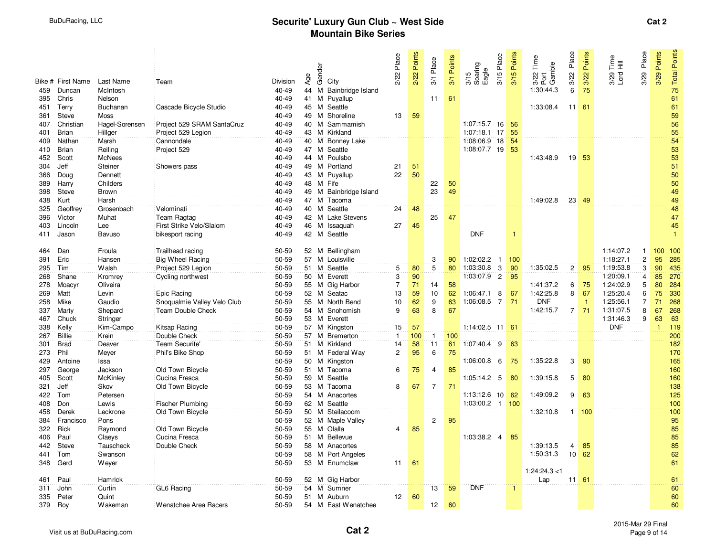|            |                   |                   |                                             |                |        |        |                           | 2/22 Place     | 2/22 Points | 3/1 Place       | Points | 3/15 Place                  | 3/15 Points | Time<br>3/22 Tim<br>Port<br>Gamble | Place          | Points         | 3/29 Place<br>$\stackrel{\mathsf{e}}{\underset{\smash{\overline{\mathsf{H}}}}{\mathsf{E}}}\equiv$ | Points       | <b>Total Points</b> |
|------------|-------------------|-------------------|---------------------------------------------|----------------|--------|--------|---------------------------|----------------|-------------|-----------------|--------|-----------------------------|-------------|------------------------------------|----------------|----------------|---------------------------------------------------------------------------------------------------|--------------|---------------------|
|            |                   |                   |                                             |                |        | Gender |                           |                |             |                 |        | 3/15<br>Soaring<br>Eagle    |             |                                    |                |                |                                                                                                   |              |                     |
|            | Bike # First Name | Last Name         | Team                                        | Division       | Age    |        | City                      |                |             |                 | 3/1    |                             |             |                                    | 3/22           | 3/22           | 3/29<br>Lord I                                                                                    | 3/29         |                     |
| 459        | Duncan            | McIntosh          |                                             | 40-49          | 44     | M      | Bainbridge Island         |                |             |                 |        |                             |             | 1:30:44.3                          | 6              | 75             |                                                                                                   |              | 75                  |
| 395        | Chris             | Nelson            |                                             | 40-49          | 41     | M      | Puyallup                  |                |             | 11              | 61     |                             |             |                                    |                |                |                                                                                                   |              | 61                  |
| 451        | Terry             | Buchanan          | Cascade Bicycle Studio                      | 40-49          | 45 M   |        | Seattle                   |                |             |                 |        |                             |             | 1:33:08.4                          |                | $11 \quad 61$  |                                                                                                   |              | 61                  |
| 361        | Steve             | <b>Moss</b>       |                                             | 40-49          | 49     | M      | Shoreline                 | 13             | 59          |                 |        |                             |             |                                    |                |                |                                                                                                   |              | 59                  |
| 407        | Christian         | Hagel-Sorensen    | Project 529 SRAM SantaCruz                  | 40-49          | 40 M   |        | Sammamish                 |                |             |                 |        | 1:07:15.7<br>16             | -56         |                                    |                |                |                                                                                                   |              | 56                  |
| 401        | <b>Brian</b>      | Hillger           | Project 529 Legion                          | 40-49          |        |        | 43 M Kirkland             |                |             |                 |        | $1:07:18.1$ 17              | 55          |                                    |                |                |                                                                                                   |              | 55                  |
| 409        | Nathan            | Marsh             | Cannondale                                  | 40-49          | 40     | M      | <b>Bonney Lake</b>        |                |             |                 |        | 1:08:06.9 18                | 54          |                                    |                |                |                                                                                                   |              | 54                  |
| 410        | <b>Brian</b>      | Reiling           | Project 529                                 | 40-49          | 47 M   |        | Seattle                   |                |             |                 |        | 1:08:07.7 19                | 53          |                                    |                |                |                                                                                                   |              | 53                  |
| 452        | Scott             | <b>McNees</b>     |                                             | 40-49          | 44 M   |        | Poulsbo                   |                |             |                 |        |                             |             | 1:43:48.9                          |                | 19 53          |                                                                                                   |              | 53                  |
| 304        | Jeff              | Steiner           | Showers pass                                | 40-49          | 49     |        | M Portland                | 21             | 51          |                 |        |                             |             |                                    |                |                |                                                                                                   |              | 51                  |
| 366        | Doug              | Dennett           |                                             | 40-49          | 43 M   |        | Puyallup                  | 22             | 50          |                 |        |                             |             |                                    |                |                |                                                                                                   |              | 50                  |
| 389        | Harry             | Childers          |                                             | 40-49          | 48     | M      | Fife                      |                |             | 22              | 50     |                             |             |                                    |                |                |                                                                                                   |              | 50                  |
| 398        | Steve             | <b>Brown</b>      |                                             | 40-49          |        |        | 49 M Bainbridge Island    |                |             | 23              | 49     |                             |             |                                    |                |                |                                                                                                   |              | 49                  |
| 438        | Kurt              | Harsh             |                                             | 40-49          | 47 M   |        | Tacoma                    |                |             |                 |        |                             |             | 1:49:02.8                          |                | $23 \mid 49$   |                                                                                                   |              | 49                  |
| 325        | Geoffrey          | Grosenbach        | Velominati                                  | 40-49          | 40     | M      | Seattle                   | 24             | 48          |                 |        |                             |             |                                    |                |                |                                                                                                   |              | 48                  |
| 396        | Victor            | Muhat             | Team Ragtag                                 | 40-49          |        |        | 42 M Lake Stevens         |                |             | 25              | 47     |                             |             |                                    |                |                |                                                                                                   |              | 47                  |
| 403        | Lincoln           | Lee               | First Strike Velo/Slalom                    | 40-49          | 46 M   |        | Issaquah                  | 27             | 45          |                 |        |                             |             |                                    |                |                |                                                                                                   |              | 45                  |
| 411        | Jason             | Bavuso            | bikesport racing                            | 40-49          |        |        | 42 M Seattle              |                |             |                 |        | <b>DNF</b>                  | 1           |                                    |                |                |                                                                                                   |              | $\overline{1}$      |
| 464        | Dan               | Froula            | Trailhead racing                            | 50-59          | 52 M   |        | Bellingham                |                |             |                 |        |                             |             |                                    |                |                | 1:14:07.2<br>$\overline{1}$                                                                       | 100          | 100                 |
| 391        | Eric              | Hansen            | <b>Big Wheel Racing</b>                     | 50-59          | 57     |        | M Louisville              |                |             | 3               | 90     | $1:02:02.2$ 1               | 100         |                                    |                |                | $\mathbf{2}$<br>1:18:27.1                                                                         | 95           | 285                 |
| 295        | Tim               | Walsh             | Project 529 Legion                          | 50-59          | 51 M   |        | Seattle                   | 5              | 80          | 5               | 80     | 1:03:30.8<br>3              | 90          | 1:35:02.5                          | 2 <sup>1</sup> | 95             | 3<br>1:19:53.8                                                                                    | 90           | 435                 |
| 268        | Shane             | Kromrey           | Cycling northwest                           | 50-59          | 50     | M      | Everett                   | $\overline{3}$ | 90          |                 |        | 1:03:07.9<br>$\overline{2}$ | 95          |                                    |                |                | 1:20:09.1<br>$\overline{4}$                                                                       | 85           | 270                 |
| 278        | Moacyr            | Oliveira          |                                             | 50-59          |        |        | 55 M Gig Harbor           | $\overline{7}$ | 71          | 14              | 58     |                             |             | 1:41:37.2                          | 6              | 75             | 1:24:02.9<br>5                                                                                    | 80           | 284                 |
| 269        | Matt              | Levin             | Epic Racing                                 | 50-59          |        |        | 52 M Seatac               | 13             | 59          | 10              | 62     | 1:06:47.1<br>8              | 67          | 1:42:25.8                          | 8              | 67             | 1:25:20.4<br>6                                                                                    | 75           | 330                 |
| 258        | Mike              | Gaudio            | Snoqualmie Valley Velo Club                 | 50-59          | 55     |        | M North Bend              | 10             | 62          | 9               | 63     | 1:06:08.5<br>$\overline{7}$ | 71          | <b>DNF</b>                         |                | $\overline{1}$ | 1:25:56.1<br>$\overline{7}$                                                                       | 71           | 268                 |
| 337        | Marty             | Shepard           | Team Double Check                           | 50-59          | 54 M   |        | Snohomish                 | 9              | 63          | 8               | 67     |                             |             | 1:42:15.7                          | 7 <sup>1</sup> | 71             | 8<br>1:31:07.5                                                                                    | 67           | 268                 |
| 467        | Chuck             | Stringer          |                                             | 50-59          | 53 M   |        | Everett                   |                |             |                 |        |                             |             |                                    |                |                | 9<br>1:31:46.3                                                                                    | 63           | 63                  |
| 338        | Kelly             | Kim-Campo         | Kitsap Racing                               | 50-59          |        |        | 57 M Kingston             | 15             | 57          |                 |        | $1:14:02.5$ 11 61           |             |                                    |                |                | <b>DNF</b>                                                                                        | $\mathbf{1}$ | 119                 |
| 267        | <b>Billie</b>     | Krein             | Double Check                                | 50-59          | 57 M   |        | Bremerton                 | $\mathbf{1}$   | 100         | $\mathbf{1}$    | 100    |                             |             |                                    |                |                |                                                                                                   |              | 200                 |
| 301        | <b>Brad</b>       | Deaver            | Team Securite'                              | 50-59          | 51     | M      | Kirkland                  | 14             | 58          | 11              | 61     | 1:07:40.4 9                 | 63          |                                    |                |                |                                                                                                   |              | 182                 |
| 273        | Phil              | Meyer             | Phil's Bike Shop                            | 50-59          | 51 M   |        | Federal Way               | $\overline{c}$ | 95          | 6               | 75     |                             |             |                                    |                |                |                                                                                                   |              | 170                 |
| 429        | Antoine           | Issa              |                                             | 50-59          | 50 M   |        | Kingston                  |                |             |                 |        | 1:06:00.8 6                 | 75          | 1:35:22.8                          | 3              | 90             |                                                                                                   |              | 165                 |
| 297        | George            | Jackson           | Old Town Bicycle                            | 50-59          | 51     | M      | Tacoma                    | 6              | 75          | $\overline{4}$  | 85     |                             |             |                                    |                |                |                                                                                                   |              | 160                 |
| 405        | Scott             | McKinley          | Cucina Fresca                               | 50-59          | 59     | M      | Seattle                   |                |             |                 |        | 1:05:14.2 5                 | 80          | 1:39:15.8                          | 5              | 80             |                                                                                                   |              | 160                 |
| 321        | Jeff              | Skov              | Old Town Bicycle                            | 50-59          | 53 M   |        | Tacoma                    | 8              | 67          | $\overline{7}$  | 71     | 1:13:12.6                   |             | 1:49:09.2                          | 9              |                |                                                                                                   |              | 138                 |
| 422        | Tom<br>Don        | Petersen          |                                             | 50-59          | 54     | M      | Anacortes<br>62 M Seattle |                |             |                 |        | 10<br>$1:03:00.2$ 1         | 62          |                                    |                | 63             |                                                                                                   |              | 125                 |
| 408<br>458 | Derek             | Lewis<br>Leckrone | <b>Fischer Plumbing</b><br>Old Town Bicycle | 50-59<br>50-59 | 50 M   |        | Steilacoom                |                |             |                 |        |                             | 100         | 1:32:10.8                          |                | 1   100        |                                                                                                   |              | 100<br>100          |
| 384        | Francisco         | Pons              |                                             | 50-59          |        |        | 52 M Maple Valley         |                |             | 2               | 95     |                             |             |                                    |                |                |                                                                                                   |              | 95                  |
| 322        | Rick              | Raymond           | Old Town Bicycle                            | 50-59          |        |        | 55 M Olalla               | 4              | 85          |                 |        |                             |             |                                    |                |                |                                                                                                   |              | 85                  |
| 406        | Paul              | Claeys            | Cucina Fresca                               | 50-59          | $51$ M |        | Bellevue                  |                |             |                 |        | 1:03:38.2 4                 | 85          |                                    |                |                |                                                                                                   |              | 85                  |
| 442        | Steve             | Tauscheck         | Double Check                                | 50-59          | 58     |        | M Anacortes               |                |             |                 |        |                             |             | 1:39:13.5                          | $\overline{4}$ | 85             |                                                                                                   |              | 85                  |
| 441        | Tom               | Swanson           |                                             | 50-59          |        |        | 58 M Port Angeles         |                |             |                 |        |                             |             | 1:50:31.3                          | 10             | 62             |                                                                                                   |              | 62                  |
| 348        | Gerd              | Weyer             |                                             | 50-59          |        |        | 53 M Enumclaw             | 11             | 61          |                 |        |                             |             |                                    |                |                |                                                                                                   |              | 61                  |
|            |                   |                   |                                             |                |        |        |                           |                |             |                 |        |                             |             | 1:24:24.3 < 1                      |                |                |                                                                                                   |              |                     |
| 461        | Paul              | Hamrick           |                                             | 50-59          |        |        | 52 M Gig Harbor           |                |             |                 |        |                             |             | Lap                                |                | 11:61          |                                                                                                   |              | 61                  |
| 311        | John              | Curtin            | GL6 Racing                                  | 50-59          | 54     |        | M Sumner                  |                |             | 13              | 59     | <b>DNF</b>                  |             |                                    |                |                |                                                                                                   |              | 60                  |
| 335        | Peter             | Quint             |                                             | 50-59          |        |        | 51 M Auburn               | 12             | 60          |                 |        |                             |             |                                    |                |                |                                                                                                   |              | 60                  |
| 379        | Roy               | Wakeman           | Wenatchee Area Racers                       | 50-59          |        |        | 54 M East Wenatchee       |                |             | 12 <sub>2</sub> | 60     |                             |             |                                    |                |                |                                                                                                   |              | 60                  |
|            |                   |                   |                                             |                |        |        |                           |                |             |                 |        |                             |             |                                    |                |                |                                                                                                   |              |                     |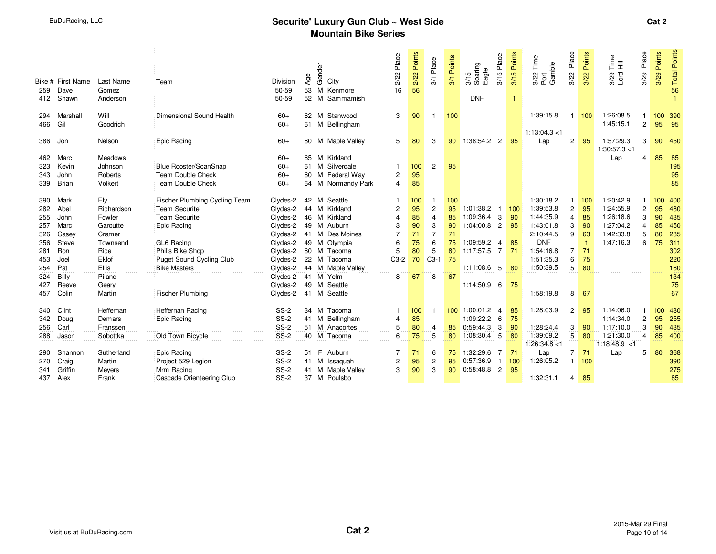| 259<br>412 | Bike # First Name<br>Dave<br>Shawn | Last Name<br>Gomez<br>Anderson | Team                          | Division<br>50-59<br>50-59 | Age<br>53 | Gender | City<br>M Kenmore<br>52 M Sammamish | Place<br>2/22<br>16     | 2/22 Points<br>56 | 3/1 Place      | Points<br>$\overline{3}$ | 3/15 Place<br>3/15<br>Soaring<br>Eagle<br><b>DNF</b> | Points<br>3/15<br>$\overline{1}$ | Time<br>3/22 Tim<br>Port<br>Gamble | Place<br>3/22         | Points<br>3/22 | $E_{\bar{z}}^{\bar{e}}$<br>$3/29$<br>Lord | Place<br>3/29  | Points<br>3/29   | <b>Total Points</b><br>56 |
|------------|------------------------------------|--------------------------------|-------------------------------|----------------------------|-----------|--------|-------------------------------------|-------------------------|-------------------|----------------|--------------------------|------------------------------------------------------|----------------------------------|------------------------------------|-----------------------|----------------|-------------------------------------------|----------------|------------------|---------------------------|
| 294        | Marshall                           | Will                           | Dimensional Sound Health      | $60+$                      |           |        | 62 M Stanwood                       | 3                       | 90                | $\mathbf{1}$   | 100                      |                                                      |                                  | 1:39:15.8                          | 1                     | 100            | 1:26:08.5                                 |                | 100 390          |                           |
| 466        | Gil                                | Goodrich                       |                               | $60+$                      |           |        | 61 M Bellingham                     |                         |                   |                |                          |                                                      |                                  |                                    |                       |                | 1:45:15.1                                 | $\overline{2}$ | 95               | 95                        |
|            |                                    |                                |                               |                            |           |        |                                     |                         |                   |                |                          |                                                      |                                  | 1:13:04.3<1                        |                       |                |                                           |                |                  |                           |
| 386        | Jon                                | Nelson                         | Epic Racing                   | $60+$                      |           |        | 60 M Maple Valley                   | 5                       | 80                | 3              | 90                       | 1:38:54.2<br>$\overline{2}$                          | 95                               | Lap                                | $\overline{2}$        | 95             | 1:57:29.3                                 | 3              | 90               | 450                       |
|            |                                    |                                |                               |                            |           |        |                                     |                         |                   |                |                          |                                                      |                                  |                                    |                       |                | 1:30:57.3 < 1                             |                |                  |                           |
| 462        | Marc                               | <b>Meadows</b>                 |                               | $60+$                      |           |        | 65 M Kirkland                       |                         |                   |                |                          |                                                      |                                  |                                    |                       |                | Lap                                       | 4              | 85               | 85                        |
| 323        | Kevin                              | Johnson                        | Blue Rooster/ScanSnap         | $60+$                      |           |        | 61 M Silverdale                     |                         | 100               | $\overline{2}$ | 95                       |                                                      |                                  |                                    |                       |                |                                           |                |                  | 195                       |
| 343        | John                               | Roberts                        | Team Double Check             | $60+$                      |           |        | 60 M Federal Way                    | 2                       | 95                |                |                          |                                                      |                                  |                                    |                       |                |                                           |                |                  | 95                        |
| 339        | Brian                              | Volkert                        | Team Double Check             | $60+$                      |           |        | 64 M Normandy Park                  | $\overline{4}$          | 85                |                |                          |                                                      |                                  |                                    |                       |                |                                           |                |                  | 85                        |
|            |                                    |                                |                               |                            |           |        |                                     |                         |                   |                |                          |                                                      |                                  |                                    |                       |                |                                           |                |                  |                           |
| 390        | Mark                               | Ely                            | Fischer Plumbing Cycling Team | Clydes-2                   |           |        | 42 M Seattle                        |                         | 100               |                | 100                      |                                                      |                                  | 1:30:18.2                          | 1                     | 100            | 1:20:42.9                                 |                | 100 <sup>°</sup> | 400                       |
| 282        | Abel                               | Richardson                     | Team Securite'                | Clydes-2                   |           |        | 44 M Kirkland                       | $\overline{2}$          | 95                | $\overline{2}$ | 95                       | 1:01:38.2                                            | 100                              | 1:39:53.8                          | $\mathbf{2}$          | 95             | 1:24:55.9                                 | $\overline{2}$ | 95               | 480                       |
| 255        | John                               | Fowler                         | Team Securite'                | Clydes-2                   |           |        | 46 M Kirkland                       | $\overline{\mathbf{A}}$ | 85                | $\overline{4}$ | 85                       | 1:09:36.4<br>-3                                      | 90                               | 1:44:35.9                          | 4                     | 85             | 1:26:18.6                                 | 3              | 90               | 435                       |
| 257        | Marc                               | Garoutte                       | Epic Racing                   | Clydes-2                   |           |        | 49 M Auburn                         | 3                       | 90                | 3              | 90                       | 1:04:00.8<br>$\overline{2}$                          | 95                               | 1:43:01.8                          | 3                     | 90             | 1:27:04.2                                 | 4              | 85               | 450                       |
| 326        | Casey                              | Cramer                         |                               | Clydes-2                   |           |        | 41 M Des Moines                     | $\overline{7}$          | 71                | $\overline{7}$ | 71                       |                                                      |                                  | 2:10:44.5                          | 9                     | 63             | 1:42:33.8                                 | 5              | 80               | 285                       |
| 356        | Steve                              | Townsend                       | GL6 Racing                    | Clydes-2                   |           |        | 49 M Olympia                        | 6                       | 75                | 6              | 75                       | 1:09:59.2<br>$\overline{4}$                          | 85                               | <b>DNF</b>                         |                       |                | 1:47:16.3                                 | 6              | 75               | 311                       |
| 281        | Ron                                | Rice                           | Phil's Bike Shop              | Clydes-2                   |           |        | 60 M Tacoma                         | 5                       | 80                | 5              | 80                       | 1:17:57.5 7                                          | 71                               | 1:54:16.8                          | $\overline{7}$        | 71             |                                           |                |                  | 302                       |
| 453        | Joel                               | Eklof                          | Puget Sound Cycling Club      | Clydes-2                   |           |        | 22 M Tacoma                         | $C3-2$                  | 70                | $C3-1$         | 75                       |                                                      |                                  | 1:51:35.3                          | 6                     | 75             |                                           |                |                  | 220                       |
| 254        | Pat                                | Ellis                          | <b>Bike Masters</b>           | Clydes-2                   |           |        | 44 M Maple Valley                   |                         |                   |                |                          | 1:11:08.6 5                                          | 80                               | 1:50:39.5                          | $\overline{5}$        | 80             |                                           |                |                  | 160                       |
| 324        | Billy                              | Piland                         |                               | Clydes-2                   |           |        | 41 M Yelm                           | 8                       | 67                | 8              | 67                       |                                                      |                                  |                                    |                       |                |                                           |                |                  | 134                       |
| 427        | Reeve                              | Geary                          |                               | Clydes-2                   | 49        |        | M Seattle                           |                         |                   |                |                          | $1:14:50.9$ 6                                        | 75                               |                                    |                       |                |                                           |                |                  | 75                        |
| 457        | Colin                              | Martin                         | Fischer Plumbing              | Clydes-2                   |           |        | 41 M Seattle                        |                         |                   |                |                          |                                                      |                                  | 1:58:19.8                          | 8                     | 67             |                                           |                |                  | 67                        |
|            |                                    |                                |                               |                            |           |        |                                     |                         |                   |                |                          |                                                      |                                  |                                    |                       |                |                                           |                |                  |                           |
| 340        | Clint                              | Heffernan                      | Heffernan Racing              | <b>SS-2</b>                |           |        | 34 M Tacoma                         |                         | 100               | $\mathbf{1}$   |                          | $100$ 1:00:01.2<br>-4                                | 85                               | 1:28:03.9                          | $\mathbf{2}^{\prime}$ | 95             | 1:14:06.0                                 |                | 100.             | 480                       |
| 342        | Doug                               | Demars                         | Epic Racing                   | <b>SS-2</b>                |           |        | 41 M Bellingham                     | 4                       | 85                |                |                          | 1:09:22.2<br>- 6                                     | 75                               |                                    |                       |                | 1:14:34.0                                 | $\overline{c}$ | 95               | 255                       |
| 256        | Carl                               | Franssen                       |                               | <b>SS-2</b>                |           |        | 51 M Anacortes                      | $\overline{5}$          | 80                | 4              | 85                       | 0:59:44.3<br>-3                                      | 90                               | 1:28:24.4                          | 3                     | 90             | 1:17:10.0                                 | 3              | 90               | 435                       |
| 288        | Jason                              | Sobottka                       | Old Town Bicycle              | $SS-2$                     |           |        | 40 M Tacoma                         | $\overline{6}$          | 75                | 5              | 80                       | 1:08:30.4 5                                          | 80                               | 1:39:09.2                          | $\overline{5}$        | 80             | 1:21:30.0                                 | $\overline{4}$ | 85               | 400                       |
|            |                                    |                                |                               |                            |           |        |                                     |                         |                   |                |                          |                                                      |                                  | 1:26:34.8<1                        |                       |                | $1:18:48.9$ <1                            |                |                  |                           |
| 290        | Shannon                            | Sutherland                     | Epic Racing                   | $SS-2$                     | 51        |        | F Auburn                            | $\overline{7}$          | 71                | 6              | 75                       | 1:32:29.6<br>$\overline{7}$                          | 71                               | Lap                                | $\overline{7}$        | 71             | Lap                                       | 5              | 80               | 368                       |
| 270        | Craig                              | Martin                         | Project 529 Legion            | <b>SS-2</b>                | 41        |        | M Issaquah                          | $\overline{c}$          | 95                | $\overline{c}$ | 95                       | 0:57:36.9                                            | 100                              | 1:26:05.2                          | 1 <sup>3</sup>        | 100            |                                           |                |                  | 390                       |
| 341        | Griffin                            | Meyers                         | Mrm Racing                    | <b>SS-2</b>                |           |        | 41 M Maple Valley                   | 3                       | 90                | 3              | 90                       | 0:58:48.8<br>$\overline{2}$                          | 95                               |                                    |                       |                |                                           |                |                  | 275                       |
| 437        | Alex                               | Frank                          | Cascade Orienteering Club     | $SS-2$                     |           |        | 37 M Poulsbo                        |                         |                   |                |                          |                                                      |                                  | 1:32:31.1                          | 4                     | 85             |                                           |                |                  | 85                        |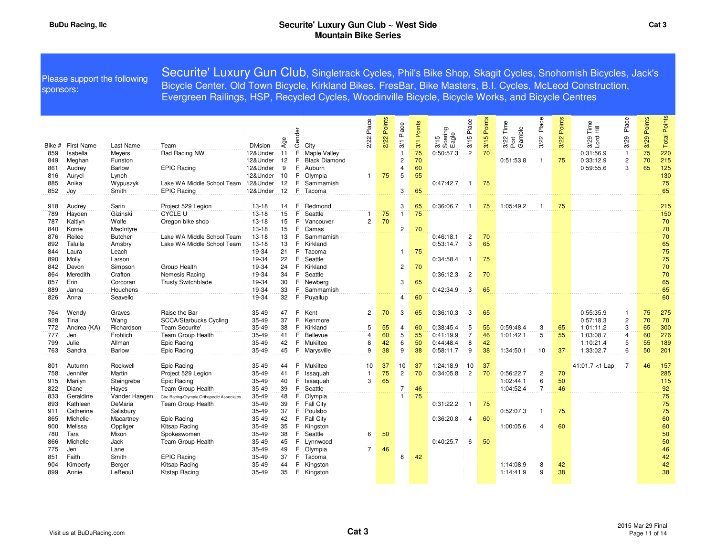| sponsors:  |                   | Please support the following | Securite' Luxury Gun Club, Singletrack Cycles, Phil's Bike Shop, Skagit Cycles, Snohomish Bicycles, Jack's<br>Bicycle Center, Old Town Bicycle, Kirkland Bikes, FresBar, Bike Masters, B.I. Cycles, McLeod Construction,<br>Evergreen Railings, HSP, Recycled Cycles, Woodinville Bicycle, Bicycle Works, and Bicycle Centres |                      |          |           |                      |                |                |                        |               |                          |                |             |                                    |                         |                |                                        |                |                |                 |
|------------|-------------------|------------------------------|-------------------------------------------------------------------------------------------------------------------------------------------------------------------------------------------------------------------------------------------------------------------------------------------------------------------------------|----------------------|----------|-----------|----------------------|----------------|----------------|------------------------|---------------|--------------------------|----------------|-------------|------------------------------------|-------------------------|----------------|----------------------------------------|----------------|----------------|-----------------|
| Bike #     | <b>First Name</b> | Last Name                    | Team                                                                                                                                                                                                                                                                                                                          | Division             | Age      | ৯<br>Gend | City                 | Place<br>ξý    | Points<br>2/22 | Place<br>$\frac{1}{3}$ | Points<br>3/1 | 3/15<br>Soaring<br>Eagle | Place<br>3/15  | 3/15 Points | Time<br>3/22 Tim<br>Port<br>Gamble | Place<br>3/22           | Points<br>3/22 | $\frac{e}{1} \equiv$<br>$3/29$<br>Lord | Place<br>3/29  | Points<br>3/29 | Points<br>Total |
| 859        | Isabella          | Meyers                       | Rad Racing NW                                                                                                                                                                                                                                                                                                                 | 12&Under             | 11       | F         | Maple Valley         |                |                | $\mathbf{1}$           | 75            | 0:50:57.3                | $\overline{2}$ | 70          |                                    |                         |                | 0:31:56.9                              | $\overline{1}$ | 75             | 220             |
| 849        | Meghan            | Funston                      |                                                                                                                                                                                                                                                                                                                               | 12&Under             | 12       | F         | <b>Black Diamond</b> |                |                | $\overline{2}$         | 70            |                          |                |             | 0:51:53.8                          | $\overline{1}$          | 75             | 0:33:12.9                              | $\overline{c}$ | 70             | 215             |
| 861        | Audrey            | <b>Barlow</b>                | <b>EPIC Racing</b>                                                                                                                                                                                                                                                                                                            | 12&Under             | 9        | F.        | Auburn               |                |                | 4                      | 60            |                          |                |             |                                    |                         |                | 0:59:55.6                              | 3              | 65             | 125             |
| 816        | Auryel            | Lynch                        |                                                                                                                                                                                                                                                                                                                               | 12&Under             | 10       | F.        | Olympia              | $\mathbf{1}$   | 75             | 5                      | 55            |                          |                |             |                                    |                         |                |                                        |                |                | 130             |
| 885        | Anika             | Wypuszyk                     | Lake WA Middle School Team                                                                                                                                                                                                                                                                                                    | 12&Under             | 12       | F         | Sammamish            |                |                |                        |               | 0:47:42.7                | -1             | 75          |                                    |                         |                |                                        |                |                | 75              |
| 852        | Joy               | Smith                        | <b>EPIC Racing</b>                                                                                                                                                                                                                                                                                                            | 12&Under             | 12       | F.        | Tacoma               |                |                | 3                      | 65            |                          |                |             |                                    |                         |                |                                        |                |                | 65              |
|            |                   |                              |                                                                                                                                                                                                                                                                                                                               |                      |          |           |                      |                |                |                        |               |                          |                |             |                                    |                         |                |                                        |                |                |                 |
| 918        | Audrey            | Sarin                        | Project 529 Legion<br><b>CYCLE U</b>                                                                                                                                                                                                                                                                                          | $13 - 18$            | 14       | F<br>F    | Redmond              |                | 75             | 3<br>$\mathbf{1}$      | 65<br>75      | 0:36:06.7                | -1             | 75          | 1:05:49.2                          | $\mathbf{1}$            | 75             |                                        |                |                | 215             |
| 789<br>787 | Hayden<br>Kaitlyn | Gizinski<br>Wolfe            | Oregon bike shop                                                                                                                                                                                                                                                                                                              | $13 - 18$<br>$13-18$ | 15<br>15 | F         | Seattle<br>Vancouver | $\overline{2}$ | 70             |                        |               |                          |                |             |                                    |                         |                |                                        |                |                | 150<br>70       |
| 840        | Korrie            | MacIntyre                    |                                                                                                                                                                                                                                                                                                                               | $13 - 18$            | 15       | F         | Camas                |                |                | $\overline{c}$         | 70            |                          |                |             |                                    |                         |                |                                        |                |                | 70              |
| 876        | Reilee            | <b>Butcher</b>               | Lake WA Middle School Team                                                                                                                                                                                                                                                                                                    | $13 - 18$            | 13       | F         | Sammamish            |                |                |                        |               | 0:46:18.1                | $\overline{c}$ | 70          |                                    |                         |                |                                        |                |                | 70              |
| 892        | Talulla           | Amsbry                       | Lake WA Middle School Team                                                                                                                                                                                                                                                                                                    | $13 - 18$            | 13       | F         | Kirkland             |                |                |                        |               | 0:53:14.7                | 3              | 65          |                                    |                         |                |                                        |                |                | 65              |
| 844        | Laura             | Leach                        |                                                                                                                                                                                                                                                                                                                               | 19-34                | 21       | F         | Tacoma               |                |                | 1                      | 75            |                          |                |             |                                    |                         |                |                                        |                |                | 75              |
| 890        | Molly             | Larson                       |                                                                                                                                                                                                                                                                                                                               | 19-34                | 22       | F         | Seattle              |                |                |                        |               | 0:34:58.4                | $\mathbf{1}$   | 75          |                                    |                         |                |                                        |                |                | 75              |
| 842        | Devon             | Simpson                      | Group Health                                                                                                                                                                                                                                                                                                                  | 19-34                | 24       | F.        | Kirkland             |                |                | $\overline{c}$         | 70            |                          |                |             |                                    |                         |                |                                        |                |                | 70              |
| 864        | Meredith          | Crafton                      | Nemesis Racing                                                                                                                                                                                                                                                                                                                | 19-34                | 34       | F         | Seattle              |                |                |                        |               | 0:36:12.3                | $\overline{c}$ | 70          |                                    |                         |                |                                        |                |                | 70              |
| 857        | Erin              | Corcoran                     | <b>Trusty Switchblade</b>                                                                                                                                                                                                                                                                                                     | 19-34                | 30       | F.        | Newbera              |                |                | 3                      | 65            |                          |                |             |                                    |                         |                |                                        |                |                | 65              |
| 889        | Janna             | Houchens                     |                                                                                                                                                                                                                                                                                                                               | 19-34                | 33       | F         | Sammamish            |                |                |                        |               | 0:42:34.9                | 3              | 65          |                                    |                         |                |                                        |                |                | 65              |
| 826        | Anna              | Seavello                     |                                                                                                                                                                                                                                                                                                                               | 19-34                | 32       | F         | Puyallup             |                |                | 4                      | 60            |                          |                |             |                                    |                         |                |                                        |                |                | 60              |
| 764        | Wendy             | Graves                       | Raise the Bar                                                                                                                                                                                                                                                                                                                 | 35-49                | 47       | F         | Kent                 | $\overline{2}$ | 70             | 3                      | 65            | 0:36:10.3                | 3              | 65          |                                    |                         |                | 0:55:35.9                              | -1             | 75             | 275             |
| 928        | Tina              | Wang                         | SCCA/Starbucks Cycling                                                                                                                                                                                                                                                                                                        | 35-49                | 37       | F         | Kenmore              |                |                |                        |               |                          |                |             |                                    |                         |                | 0:57:18.3                              | $\sqrt{2}$     | 70             | 70              |
| 772        | Andrea (KA)       | Richardson                   | Team Securite'                                                                                                                                                                                                                                                                                                                | $35 - 49$            | 38       | F.        | Kirkland             | 5              | 55             | $\overline{4}$         | 60            | 0:38:45.4                | 5              | 55          | 0:59:48.4                          | 3                       | 65             | 1:01:11.2                              | 3              | 65             | 300             |
| 777        | Jen               | Frohlich                     | <b>Team Group Health</b>                                                                                                                                                                                                                                                                                                      | 35-49                | 41       | F         | Bellevue             | $\overline{4}$ | 60             | 5                      | 55            | 0:41:19.9                | $\overline{7}$ | 46          | 1:01:42.1                          | 5                       | 55             | 1:03:08.7                              | $\overline{4}$ | 60             | 276             |
| 799        | Julie             | Allman                       | Epic Racing                                                                                                                                                                                                                                                                                                                   | $35 - 49$            | 42       | F         | Mukilteo             | 8              | 42             | 6                      | 50            | 0:44:48.4                | 8              | 42          |                                    |                         |                | 1:10:21.4                              | 5              | 55             | 189             |
| 763        | Sandra            | <b>Barlow</b>                | Epic Racing                                                                                                                                                                                                                                                                                                                   | $35 - 49$            | 45       | F         | Marysville           | 9              | 38             | 9                      | 38            | 0:58:11.7                | 9              | 38          | 1:34:50.1                          | 10                      | 37             | 1:33:02.7                              | 6              | 50             | 201             |
| 801        | Autumn            | Rockwell                     | Epic Racing                                                                                                                                                                                                                                                                                                                   | 35-49                | 44       | F.        | Mukilteo             | 10             | 37             | 10                     | 37            | 1:24:18.9                | 10             | 37          |                                    |                         |                | 41:01.7 <1 Lap                         | $\overline{7}$ | 46             | 157             |
| 758        | Jennifer          | Martin                       | Project 529 Legion                                                                                                                                                                                                                                                                                                            | 35-49                | 41       | F         | Issaquah             | $\mathbf{1}$   | 75             | $\overline{c}$         | 70            | 0:34:05.8                | $\overline{c}$ | 70          | 0:56:22.7                          | $\overline{\mathbf{c}}$ | 70             |                                        |                |                | 285             |
| 915        | Marilyn           | Steingrebe                   | Epic Racing                                                                                                                                                                                                                                                                                                                   | 35-49                | 40       | F         | Issaquah             | 3              | 65             |                        |               |                          |                |             | 1:02:44.1                          | $\boldsymbol{6}$        | 50             |                                        |                |                | 115             |
| 822        | Diane             | Haves                        | Team Group Health                                                                                                                                                                                                                                                                                                             | 35-49                | 39       | F         | Seattle              |                |                | 7                      | 46            |                          |                |             | 1:04:52.4                          | $\overline{7}$          | 46             |                                        |                |                | 92              |
| 833        | Geraldine         | Vander Haegen                | Cbc Racing/Olympia Orthopedic Associates                                                                                                                                                                                                                                                                                      | 35-49                | 48       | F.        | Olympia              |                |                | $\mathbf{1}$           | 75            |                          |                |             |                                    |                         |                |                                        |                |                | 75              |
| 893        | Kathleen          | DeMaria                      | Team Group Health                                                                                                                                                                                                                                                                                                             | 35-49                | 39       | F.        | <b>Fall City</b>     |                |                |                        |               | 0:31:22.2                | -1             | 75          |                                    |                         |                |                                        |                |                | 75              |
| 911        | Catherine         | Salisbury                    |                                                                                                                                                                                                                                                                                                                               | 35-49                | 37       | F.        | Poulsbo              |                |                |                        |               |                          |                |             | 0:52:07.3                          | $\mathbf{1}$            | 75             |                                        |                |                | 75              |
| 865        | Michelle          | Macartney                    | Epic Racing                                                                                                                                                                                                                                                                                                                   | 35-49                | 42       | F.        | <b>Fall City</b>     |                |                |                        |               | 0:36:20.8                | $\overline{4}$ | 60          |                                    |                         |                |                                        |                |                | 60              |
| 900        | Melissa           | Oppliger<br>Mixon            | Kitsap Racing                                                                                                                                                                                                                                                                                                                 | 35-49                | 35       | F<br>F.   | Kingston             | 6              | 50             |                        |               |                          |                |             | 1:00:05.6                          | $\overline{4}$          | 60             |                                        |                |                | 60<br>50        |
| 780<br>866 | Tara<br>Michelle  | Jack                         | Spokeswomen<br>Team Group Health                                                                                                                                                                                                                                                                                              | 35-49<br>35-49       | 38<br>45 | F         | Seattle<br>Lynnwood  |                |                |                        |               | 0:40:25.7                | 6              | 50          |                                    |                         |                |                                        |                |                | 50              |
| 775        | Jen               | Lane                         |                                                                                                                                                                                                                                                                                                                               | 35-49                | 49       | F         | Olympia              | $7^{\circ}$    | 46             |                        |               |                          |                |             |                                    |                         |                |                                        |                |                | 46              |
| 851        | Faith             | Smith                        | <b>EPIC Racing</b>                                                                                                                                                                                                                                                                                                            | 35-49                | 37       | F.        | Tacoma               |                |                | 8                      | 42            |                          |                |             |                                    |                         |                |                                        |                |                | 42              |
| 904        | Kimberly          | Berger                       | Kitsap Racing                                                                                                                                                                                                                                                                                                                 | 35-49                | 44       | F         | Kingston             |                |                |                        |               |                          |                |             | 1:14:08.9                          | 8                       | 42             |                                        |                |                | 42              |
| 899        | Annie             | LeBeouf                      | Ktstap Racing                                                                                                                                                                                                                                                                                                                 | 35-49                | 35       |           | F Kingston           |                |                |                        |               |                          |                |             | 1:14:41.9                          | 9                       | 38             |                                        |                |                | 38              |
|            |                   |                              |                                                                                                                                                                                                                                                                                                                               |                      |          |           |                      |                |                |                        |               |                          |                |             |                                    |                         |                |                                        |                |                |                 |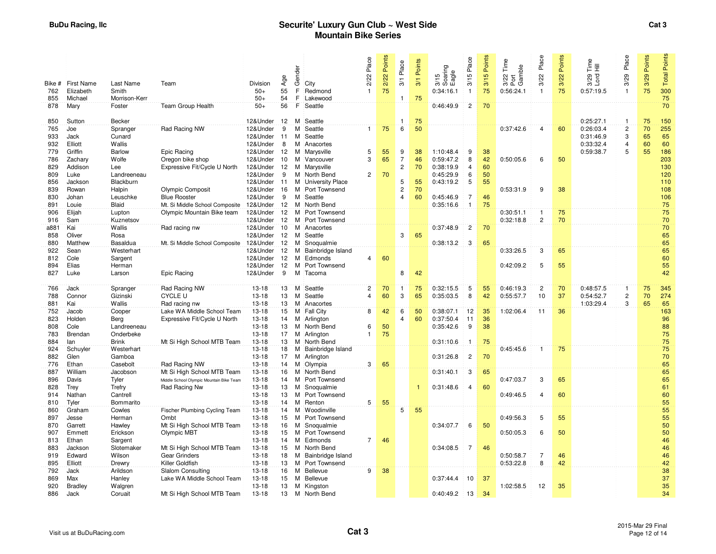|               |                         |                        |                                                            |                         | Age      | Gender |                               | Place<br>2/22  | 2/22 Points | Place<br>$\frac{1}{2}$       | Points<br>3/1 | 3/15<br>Soaring<br>Eagle | 3/15 Place              | 3/15 Points | Time<br>3/22 Tim<br>Port<br>Gamble | Place<br>3/22    | Points<br>3/22 | Time<br>呈<br>Lord<br>3/29 | Place<br>3/29                             | Points<br>3/29 | Points<br><b>Total</b> |
|---------------|-------------------------|------------------------|------------------------------------------------------------|-------------------------|----------|--------|-------------------------------|----------------|-------------|------------------------------|---------------|--------------------------|-------------------------|-------------|------------------------------------|------------------|----------------|---------------------------|-------------------------------------------|----------------|------------------------|
| Bike #<br>762 | First Name<br>Elizabeth | Last Name<br>Smith     | Team                                                       | Division<br>$50+$       | 55       | F      | City<br>Redmond               |                | 75          |                              |               | 0:34:16.1                | $\overline{1}$          | 75          | 0:56:24.1                          | $\mathbf{1}$     | 75             | 0:57:19.5                 | $\overline{1}$                            | 75             | 300                    |
| 855           | Michael                 | Morrison-Kerr          |                                                            | $50+$                   | 54       | F      | Lakewood                      |                |             | $\mathbf{1}$                 | 75            |                          |                         |             |                                    |                  |                |                           |                                           |                | 75                     |
| 878           | Mary                    | Foster                 | Team Group Health                                          | $50+$                   | 56       | F      | Seattle                       |                |             |                              |               | 0:46:49.9                | $\overline{2}$          | 70          |                                    |                  |                |                           |                                           |                | 70                     |
|               |                         |                        |                                                            |                         |          |        |                               |                |             |                              |               |                          |                         |             |                                    |                  |                |                           |                                           |                |                        |
| 850           | Sutton                  | <b>Becker</b>          |                                                            | 12&Under                | 12       | м      | Seattle                       |                |             | 1                            | 75            |                          |                         |             |                                    |                  |                | 0:25:27.1                 | $\mathbf{1}$                              | 75             | 150                    |
| 765           | Joe                     | Spranger               | Rad Racing NW                                              | 12&Under                | 9        | м      | Seattle                       | 1              | 75          | 6                            | 50            |                          |                         |             | 0:37:42.6                          | $\overline{4}$   | 60             | 0:26:03.4                 | $\overline{2}$                            | 70             | 255                    |
| 933           | Jack                    | Cunard                 |                                                            | 12&Under                | 11       | м      | Seattle                       |                |             |                              |               |                          |                         |             |                                    |                  |                | 0:31:46.9                 | 3                                         | 65             | 65                     |
| 932           | Elliott                 | Wallis                 |                                                            | 12&Under                | 8        |        | M Anacortes                   |                |             |                              |               |                          |                         |             |                                    |                  |                | 0:33:32.4                 | $\overline{\mathbf{4}}$<br>$\overline{5}$ | 60<br>55       | 60                     |
| 779<br>786    | Griffin<br>Zachary      | <b>Barlow</b><br>Wolfe | Epic Racing<br>Oregon bike shop                            | 12&Under 12<br>12&Under | 10       | м      | M Marysville<br>Vancouver     | 5<br>3         | 55<br>65    | 9<br>$\overline{7}$          | 38<br>46      | 1:10:48.4<br>0:59:47.2   | 9<br>8                  | 38<br>42    | 0:50:05.6                          | 6                | 50             | 0:59:38.7                 |                                           |                | 186<br>203             |
| 829           | Addison                 | Lee                    | Expressive Fit/Cycle U North                               | 12&Under 12             |          | M      | Marysville                    |                |             | $\overline{c}$               | 70            | 0:38:19.9                | $\overline{4}$          | 60          |                                    |                  |                |                           |                                           |                | 130                    |
| 809           | Luke                    | Landreeneau            |                                                            | 12&Under                | 9        |        | M North Bend                  | 2              | 70          |                              |               | 0:45:29.9                | 6                       | 50          |                                    |                  |                |                           |                                           |                | 120                    |
| 856           | Jackson                 | Blackburn              |                                                            | 12&Under                | 11       |        | M University Place            |                |             | 5                            | 55            | 0:43:19.2                | 5                       | 55          |                                    |                  |                |                           |                                           |                | 110                    |
| 839           | Rowan                   | Halpin                 | Olympic Composit                                           | 12&Under                | 16       |        | M Port Townsend               |                |             | $\overline{c}$               | 70            |                          |                         |             | 0:53:31.9                          | 9                | 38             |                           |                                           |                | 108                    |
| 830           | Johan                   | Leuschke               | <b>Blue Rooster</b>                                        | 12&Under                | 9        | м      | Seattle                       |                |             | $\overline{4}$               | 60            | 0:45:46.9                | $\overline{7}$          | 46          |                                    |                  |                |                           |                                           |                | 106                    |
| 891           | Louie                   | Blaid                  | Mt. Si Middle School Composite                             | 12&Under                | 12       |        | M North Bend                  |                |             |                              |               | 0:35:16.6                | $\mathbf{1}$            | 75          |                                    |                  |                |                           |                                           |                | 75                     |
| 906           | Elijah                  | Lupton                 | Olympic Mountain Bike team                                 | 12&Under                | 12       |        | M Port Townsend               |                |             |                              |               |                          |                         |             | 0:30:51.1                          | $\mathbf{1}$     | 75             |                           |                                           |                | 75                     |
| 916           | Sam                     | Kuznetsov              |                                                            | 12&Under                | 12       |        | M Port Townsend               |                |             |                              |               |                          |                         |             | 0:32:18.8                          | $\overline{2}$   | 70             |                           |                                           |                | 70                     |
| a881<br>858   | Kai<br>Oliver           | Wallis<br>Rosa         | Rad racing nw                                              | 12&Under<br>12&Under    | 10<br>12 |        | M Anacortes<br>Seattle        |                |             | 3                            | 65            | 0:37:48.9                | $\overline{c}$          | 70          |                                    |                  |                |                           |                                           |                | 70<br>65               |
| 880           | Matthew                 | Basaldua               | Mt. Si Middle School Composite                             | 12&Under                | 12       | м      | M Snoqualmie                  |                |             |                              |               | 0:38:13.2                | 3                       | 65          |                                    |                  |                |                           |                                           |                | 65                     |
| 922           | Sean                    | Westerhart             |                                                            | 12&Under                | 12       |        | M Bainbridge Island           |                |             |                              |               |                          |                         |             | 0:33:26.5                          | 3                | 65             |                           |                                           |                | 65                     |
| 812           | Cole                    | Sargent                |                                                            | 12&Under                | 12       | M      | Edmonds                       | 4              | 60          |                              |               |                          |                         |             |                                    |                  |                |                           |                                           |                | 60                     |
| 894           | Elias                   | Herman                 |                                                            | 12&Under                | 12       | M      | Port Townsend                 |                |             |                              |               |                          |                         |             | 0:42:09.2                          | 5                | 55             |                           |                                           |                | 55                     |
| 827           | Luke                    | Larson                 | Epic Racing                                                | 12&Under                | 9        | м      | Tacoma                        |                |             | 8                            | 42            |                          |                         |             |                                    |                  |                |                           |                                           |                | 42                     |
|               |                         |                        |                                                            |                         |          |        |                               |                |             |                              |               |                          |                         |             |                                    |                  |                |                           |                                           |                |                        |
| 766           | Jack                    | Spranger               | Rad Racing NW                                              | $13-18$                 | 13       | M      | Seattle                       | $\overline{2}$ | 70          | $\overline{1}$               | 75            | 0:32:15.5                | 5                       | 55          | 0:46:19.3                          | $\overline{c}$   | 70             | 0:48:57.5                 | $\mathbf{1}$                              | 75             | 345                    |
| 788           | Connor                  | Gizinski               | <b>CYCLE U</b>                                             | $13 - 18$               | 13       | м      | Seattle                       | $\Delta$       | 60          | 3                            | 65            | 0:35:03.5                | 8                       | 42          | 0:55:57.7                          | 10               | 37             | 0:54:52.7                 | $\overline{c}$                            | 70             | 274                    |
| 881           | Kai                     | Wallis                 | Rad racing nw                                              | $13-18$                 | 13       |        | M Anacortes                   |                |             |                              |               |                          |                         |             |                                    |                  |                | 1:03:29.4                 | 3                                         | 65             | 65                     |
| 752<br>823    | Jacob<br>Holden         | Cooper<br>Berg         | Lake WA Middle School Team<br>Expressive Fit/Cycle U North | $13-18$<br>$13 - 18$    | 15<br>14 |        | M Fall City<br>M Arlington    | 8              | 42          | 6<br>$\overline{\mathbf{4}}$ | 50<br>60      | 0:38:07.1<br>0:37:50.4   | 12<br>11                | 35<br>36    | 1:02:06.4                          | 11               | 36             |                           |                                           |                | 163<br>96              |
| 808           | Cole                    | Landreeneau            |                                                            | $13 - 18$               | 13       | м      | North Bend                    | 6              | 50          |                              |               | 0:35:42.6                | 9                       | 38          |                                    |                  |                |                           |                                           |                | 88                     |
| 783           | Brendan                 | Onderbeke              |                                                            | $13 - 18$               | 17       |        | M Arlington                   |                | 75          |                              |               |                          |                         |             |                                    |                  |                |                           |                                           |                | 75                     |
| 884           | lan                     | <b>Brink</b>           | Mt Si High School MTB Team                                 | $13 - 18$               | 13       |        | M North Bend                  |                |             |                              |               | 0:31:10.6                | $\overline{1}$          | 75          |                                    |                  |                |                           |                                           |                | 75                     |
| 924           | Schuyler                | Westerhart             |                                                            | $13 - 18$               | 18       | м      | Bainbridge Island             |                |             |                              |               |                          |                         |             | 0:45:45.6                          | $\mathbf{1}$     | 75             |                           |                                           |                | 75                     |
| 882           | Glen                    | Gamboa                 |                                                            | $13 - 18$               | 17       |        | M Arlington                   |                |             |                              |               | 0:31:26.8                | $\overline{c}$          | 70          |                                    |                  |                |                           |                                           |                | 70                     |
| 776           | Ethan                   | Casebolt               | Rad Racing NW                                              | $13-18$                 | 14       | м      | Olympia                       | 3              | 65          |                              |               |                          |                         |             |                                    |                  |                |                           |                                           |                | 65                     |
| 887           | William                 | Jacobson               | Mt Si High School MTB Team                                 | $13-18$                 | 16       |        | M North Bend                  |                |             |                              |               | 0:31:40.1                | $\overline{\mathbf{3}}$ | 65          |                                    |                  |                |                           |                                           |                | 65                     |
| 896           | Davis                   | Tyler                  | Middle School Olympic Mountain Bike Team                   | $13-18$                 | 14       | м      | Port Townsend                 |                |             |                              |               |                          |                         |             | 0:47:03.7                          | 3                | 65             |                           |                                           |                | 65                     |
| 828<br>914    | Trey<br>Nathan          | Trefry<br>Cantrell     | Rad Racing Nw                                              | $13 - 18$<br>$13 - 18$  | 13<br>13 | м      | Snoqualmie<br>M Port Townsend |                |             |                              |               | 0:31:48.6                | $\overline{4}$          | 60          | 0:49:46.5                          | $\overline{4}$   | 60             |                           |                                           |                | 61<br>60               |
| 810           | Tyler                   | Bommarito              |                                                            | $13 - 18$               | 14       | м      | Renton                        | 5              | 55          |                              |               |                          |                         |             |                                    |                  |                |                           |                                           |                | 55                     |
| 860           | Graham                  | Cowles                 | Fischer Plumbing Cycling Team                              | $13 - 18$               | 14       | м      | Woodinville                   |                |             | $\overline{5}$               | 55            |                          |                         |             |                                    |                  |                |                           |                                           |                | 55                     |
| 897           | Jesse                   | Herman                 | Ombt                                                       | $13 - 18$               | 15       | м      | Port Townsend                 |                |             |                              |               |                          |                         |             | 0:49:56.3                          | 5                | 55             |                           |                                           |                | 55                     |
| 870           | Garrett                 | Hawley                 | Mt Si High School MTB Team                                 | $13-18$                 | 16       | м      | Snoqualmie                    |                |             |                              |               | 0:34:07.7                | 6                       | 50          |                                    |                  |                |                           |                                           |                | 50                     |
| 907           | Emmett                  | Erickson               | Olympic MBT                                                | $13 - 18$               | 15       |        | M Port Townsend               |                |             |                              |               |                          |                         |             | 0:50:05.3                          | $\boldsymbol{6}$ | 50             |                           |                                           |                | 50                     |
| 813           | Ethan                   | Sargent                |                                                            | $13-18$                 | 14       | м      | Edmonds                       | $\overline{7}$ | 46          |                              |               |                          |                         |             |                                    |                  |                |                           |                                           |                | 46                     |
| 883           | Jackson                 | Slotemaker             | Mt Si High School MTB Team                                 | $13-18$                 | 15       |        | M North Bend                  |                |             |                              |               | 0:34:08.5                | $\overline{7}$          | 46          |                                    |                  |                |                           |                                           |                | 46                     |
| 919           | Edward                  | Wilson                 | Gear Grinders                                              | $13-18$                 | 18       | м      | Bainbridge Island             |                |             |                              |               |                          |                         |             | 0:50:58.7                          | $\overline{7}$   | 46             |                           |                                           |                | 46                     |
| 895<br>792    | Elliott                 | Drewry                 | Killer Goldfish                                            | $13-18$<br>$13-18$      | 13       | м<br>м | Port Townsend<br>Bellevue     | 9              | 38          |                              |               |                          |                         |             | 0:53:22.8                          | 8                | 42             |                           |                                           |                | 42<br>38               |
| 869           | Jack<br>Max             | Arildson<br>Hanley     | Slalom Consulting<br>Lake WA Middle School Team            | $13-18$                 | 16<br>15 | М      | Bellevue                      |                |             |                              |               | 0:37:44.4                | 10                      | 37          |                                    |                  |                |                           |                                           |                | 37                     |
| 920           | <b>Bradley</b>          | Walgren                |                                                            | $13 - 18$               | 13       |        | M Kingston                    |                |             |                              |               |                          |                         |             | 1:02:58.5                          | 12               | 35             |                           |                                           |                | 35                     |
| 886           | Jack                    | Coruait                | Mt Si High School MTB Team                                 | $13-18$                 | 13       |        | M North Bend                  |                |             |                              |               | 0:40:49.2                | 13                      | 34          |                                    |                  |                |                           |                                           |                | 34                     |
|               |                         |                        |                                                            |                         |          |        |                               |                |             |                              |               |                          |                         |             |                                    |                  |                |                           |                                           |                |                        |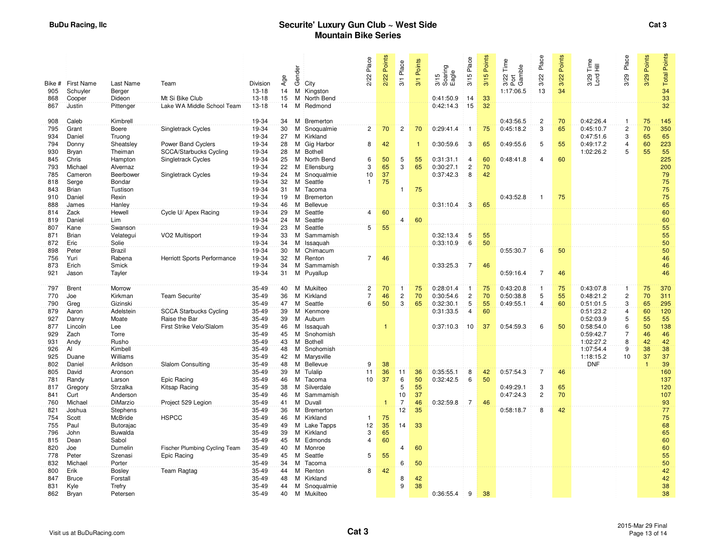| Bike #     | First Name      | Last Name               | Team                          | Division         | Age      | Gender | City                   | 2/22 Place              | 2/22 Points | Place<br>$\overline{\delta}$ | Points<br>$\overline{3}$ | 3/15<br>Soaring<br>Eagle | 3/15 Place     | Points<br>3/15 | Time<br>Gamble<br>22<br>3/22<br>Port | Place<br>3/22  | Points<br>3/22 | Time<br>$\bar{\Xi}$<br>$3/29$<br>Lord | 3/29 Place     | 3/29 Points    | <b>Total Points</b> |
|------------|-----------------|-------------------------|-------------------------------|------------------|----------|--------|------------------------|-------------------------|-------------|------------------------------|--------------------------|--------------------------|----------------|----------------|--------------------------------------|----------------|----------------|---------------------------------------|----------------|----------------|---------------------|
| 905        | Schuyler        | Berger                  |                               | $13 - 18$        | 14       | M      | Kingston               |                         |             |                              |                          |                          |                |                | 1:17:06.5                            | 13             | 34             |                                       |                |                | 34                  |
| 868        | Cooper          | Dideon                  | Mt Si Bike Club               | $13 - 18$        | 15       | M      | North Bend             |                         |             |                              |                          | 0:41:50.9                | 14             | 33             |                                      |                |                |                                       |                |                | 33                  |
| 867        | Justin          | Pittenger               | Lake WA Middle School Team    | $13 - 18$        | 14       | м      | Redmond                |                         |             |                              |                          | 0:42:14.3                | 15             | 32             |                                      |                |                |                                       |                |                | 32 <sup>°</sup>     |
| 908        | Caleb           | Kimbrell                |                               | 19-34            | 34       | м      | Bremerton              |                         |             |                              |                          |                          |                |                | 0:43:56.5                            | $\overline{2}$ | 70             | 0:42:26.4                             | $\mathbf{1}$   | 75             | 145                 |
| 795        | Grant           | Boere                   | Singletrack Cycles            | 19-34            | 30       | м      | Snoqualmie             | $\overline{2}$          | 70          | $\overline{c}$               | 70                       | 0:29:41.4                | $\mathbf{1}$   | 75             | 0:45:18.2                            | 3              | 65             | 0:45:10.7                             | $\overline{2}$ | 70             | 350                 |
| 934        | Daniel          | Truong                  |                               | 19-34            | 27       | M      | Kirkland               |                         |             |                              |                          |                          |                |                |                                      |                |                | 0:47:51.6                             | 3              | 65             | 65                  |
| 794        | Donny           | Sheatsley               | Power Band Cyclers            | 19-34            | 28       | м      | Gig Harbor             | 8                       | 42          |                              | 1                        | 0:30:59.6                | 3              | 65             | 0:49:55.6                            | 5              | 55             | 0:49:17.2                             | $\overline{4}$ | 60             | 223                 |
| 930        | Bryan           | Theiman                 | SCCA/Starbucks Cycling        | 19-34            | 28       | M      | Bothell                |                         |             |                              |                          |                          |                |                |                                      |                |                | 1:02:26.2                             | 5              | 55             | 55                  |
| 845        | Chris           | Hampton                 | Singletrack Cycles            | 19-34            | 25       | м      | North Bend             | 6                       | 50          | 5                            | 55                       | 0:31:31.1                | $\overline{4}$ | 60             | 0:48:41.8                            | 4              | 60             |                                       |                |                | 225                 |
| 793        | Michael         | Alvernaz                |                               | 19-34            | 22       | м      | Ellensburg             | 3                       | 65          | 3                            | 65                       | 0:30:27.1                | $\overline{2}$ | 70             |                                      |                |                |                                       |                |                | 200                 |
| 785        | Cameron         | Beerbower               | <b>Singletrack Cycles</b>     | 19-34            | 24       | м      | Snoqualmie             | 10                      | 37          |                              |                          | 0:37:42.3                | 8              | 42             |                                      |                |                |                                       |                |                | 79                  |
| 818        | Serge           | Bondar                  |                               | 19-34            | 32       | м      | Seattle                | $\mathbf{1}$            | 75          |                              |                          |                          |                |                |                                      |                |                |                                       |                |                | 75                  |
| 843        | Brian           | Tustison                |                               | 19-34            | 31       | м      | Tacoma                 |                         |             | $\mathbf{1}$                 | 75                       |                          |                |                |                                      |                |                |                                       |                |                | 75                  |
| 910        | Daniel          | Rexin                   |                               | 19-34            | 19       | м      | Bremerton              |                         |             |                              |                          |                          |                |                | 0:43:52.8                            | $\mathbf{1}$   | 75             |                                       |                |                | $75\,$              |
| 888        | James           | Hanley                  |                               | 19-34            | 46       | M      | Bellevue               |                         |             |                              |                          | 0:31:10.4                | 3              | 65             |                                      |                |                |                                       |                |                | 65                  |
| 814        | Zack            | Hewell                  | Cycle U/ Apex Racing          | 19-34            | 29       | м      | Seattle                | 4                       | 60          |                              |                          |                          |                |                |                                      |                |                |                                       |                |                | 60                  |
| 819        | Daniel          | Lim                     |                               | 19-34            | 24       | м      | Seattle                |                         |             | 4                            | 60                       |                          |                |                |                                      |                |                |                                       |                |                | 60                  |
| 807        | Kane            | Swanson                 |                               | 19-34            | 23       | м      | Seattle                | 5                       | 55          |                              |                          |                          |                |                |                                      |                |                |                                       |                |                | 55                  |
| 871        | Brian           | Velatequi               | VO <sub>2</sub> Multisport    | 19-34            | 33       | м      | Sammamish              |                         |             |                              |                          | 0:32:13.4                | 5              | 55             |                                      |                |                |                                       |                |                | 55                  |
| 872<br>898 | Eric<br>Peter   | Solie                   |                               | 19-34<br>19-34   | 34<br>30 | м<br>м | Issaquah<br>Chimacum   |                         |             |                              |                          | 0:33:10.9                | 6              | 50             | 0:55:30.7                            | 6              | 50             |                                       |                |                | 50                  |
| 756        | Yuri            | <b>Brazil</b><br>Rabena | Herriott Sports Performance   | 19-34            | 32       | м      | Renton                 | $\overline{7}$          | 46          |                              |                          |                          |                |                |                                      |                |                |                                       |                |                | 50<br>46            |
| 873        | Erich           | Smick                   |                               | 19-34            | 34       | M      | Sammamish              |                         |             |                              |                          | 0:33:25.3                | $\overline{7}$ | 46             |                                      |                |                |                                       |                |                | 46                  |
| 921        | Jason           | Tayler                  |                               | 19-34            | 31       | M      | Puyallup               |                         |             |                              |                          |                          |                |                | 0:59:16.4                            | $\overline{7}$ | 46             |                                       |                |                | 46                  |
|            |                 |                         |                               |                  |          |        |                        |                         |             |                              |                          |                          |                |                |                                      |                |                |                                       |                |                |                     |
| 797        | Brent           | Morrow                  |                               | 35-49            | 40       | м      | Mukilteo               | $\overline{\mathbf{c}}$ | 70          | $\mathbf{1}$                 | 75                       | 0:28:01.4                | -1             | 75             | 0:43:20.8                            | $\mathbf{1}$   | 75             | 0:43:07.8                             | $\mathbf{1}$   | 75             | 370                 |
| 770        | Joe             | Kirkman                 | Team Securite'                | 35-49            | 36       | м      | Kirkland               | $\overline{7}$          | 46          | $\overline{c}$               | 70                       | 0:30:54.6                | $\overline{c}$ | 70             | 0:50:38.8                            | 5              | 55             | 0:48:21.2                             | $\overline{c}$ | 70             | 311                 |
| 790        | Greg            | Gizinski                |                               | 35-49            | 47       | м      | Seattle                | 6                       | 50          | 3                            | 65                       | 0:32:30.1                | 5              | 55             | 0:49:55.1                            | $\overline{4}$ | 60             | 0:51:01.5                             | 3              | 65             | 295                 |
| 879        | Aaron           | Adelstein               | <b>SCCA Starbucks Cycling</b> | 35-49            | 39       | м      | Kenmore                |                         |             |                              |                          | 0:31:33.5                | $\overline{4}$ | 60             |                                      |                |                | 0:51:23.2                             | $\overline{4}$ | 60             | 120                 |
| 927        | Danny           | Moate                   | Raise the Bar                 | $35-49$          | 39       | м      | Auburn                 |                         |             |                              |                          |                          |                |                |                                      |                |                | 0:52:03.9                             | 5              | 55             | 55                  |
| 877        | Lincoln         | Lee                     | First Strike Velo/Slalom      | $35-49$          | 46       | м      | Issaquah               |                         |             |                              |                          | 0:37:10.3                | 10             | 37             | 0:54:59.3                            | 6              | 50             | 0:58:54.0                             | 6              | 50             | 138                 |
| 929        | Zach            | Torre                   |                               | $35-49$          | 45       | м      | Snohomish              |                         |             |                              |                          |                          |                |                |                                      |                |                | 0:59:42.7                             | $\overline{7}$ | 46             | 46                  |
| 931        | Andy            | Rusho                   |                               | $35-49$          | 43       | M      | Bothell                |                         |             |                              |                          |                          |                |                |                                      |                |                | 1:02:27.2                             | 8<br>9         | 42             | 42                  |
| 926        | ΑI              | Kimbell                 |                               | $35-49$<br>35-49 | 48       | м<br>м | Snohomish              |                         |             |                              |                          |                          |                |                |                                      |                |                | 1:07:54.4                             | 10             | 38<br>37       | 38<br>37            |
| 925<br>802 | Duane<br>Daniel | Williams<br>Arildson    | Slalom Consulting             | 35-49            | 42<br>48 | M      | Marysville<br>Bellevue | 9                       | 38          |                              |                          |                          |                |                |                                      |                |                | 1:18:15.2<br><b>DNF</b>               |                | $\overline{1}$ | 39                  |
| 805        | David           | Aronson                 |                               | $35-49$          | 39       | M      | Tulalip                | 11                      | 36          | 11                           | 36                       | 0:35:55.1                | 8              | 42             | 0:57:54.3                            | $\overline{7}$ | 46             |                                       |                |                | 160                 |
| 781        | Randy           | Larson                  | Epic Racing                   | 35-49            | 46       | м      | Tacoma                 | 10                      | 37          | 6                            | 50                       | 0:32:42.5                | 6              | 50             |                                      |                |                |                                       |                |                | 137                 |
| 817        | Gregory         | Strzalka                | Kitsap Racing                 | 35-49            | 38       | м      | Silverdale             |                         |             | 5                            | 55                       |                          |                |                | 0:49:29.1                            | 3              | 65             |                                       |                |                | 120                 |
| 841        | Curt            | Anderson                |                               | 35-49            | 46       | M      | Sammamish              |                         |             | 10                           | 37                       |                          |                |                | 0:47:24.3                            | $\overline{2}$ | 70             |                                       |                |                | 107                 |
| 760        | Michael         | DiMarzio                | Project 529 Legion            | 35-49            | 41       | м      | Duvall                 |                         |             | $\overline{7}$               | 46                       | 0:32:59.8                | 7              | 46             |                                      |                |                |                                       |                |                | 93                  |
| 821        | Joshua          | Stephens                |                               | $35-49$          | 36       | м      | Bremerton              |                         |             | 12                           | 35                       |                          |                |                | 0:58:18.7                            | 8              | 42             |                                       |                |                | 77                  |
| 754        | Scott           | <b>McBride</b>          | <b>HSPCC</b>                  | 35-49            | 46       | м      | Kirkland               | $\mathbf{1}$            | 75          |                              |                          |                          |                |                |                                      |                |                |                                       |                |                | 75                  |
| 755        | Paul            | Butorajac               |                               | 35-49            | 49       | м      | <b>Lake Tapps</b>      | 12                      | 35          | 14                           | 33                       |                          |                |                |                                      |                |                |                                       |                |                | 68                  |
| 796        | John            | <b>Buwalda</b>          |                               | 35-49            | 39       | М      | Kirkland               | 3                       | 65          |                              |                          |                          |                |                |                                      |                |                |                                       |                |                | 65                  |
| 815        | Dean            | Sabol                   |                               | 35-49            | 45       | м      | Edmonds                | 4                       | 60          |                              |                          |                          |                |                |                                      |                |                |                                       |                |                | 60                  |
| 820        | Joe             | Dumelin                 | Fischer Plumbing Cycling Team | 35-49            | 40       | м      | Monroe                 |                         |             | $\overline{4}$               | 60                       |                          |                |                |                                      |                |                |                                       |                |                | 60                  |
| 778        | Peter           | Szenasi                 | Epic Racing                   | 35-49            | 45       | M      | Seattle                | 5                       | 55          |                              |                          |                          |                |                |                                      |                |                |                                       |                |                | 55                  |
| 832        | Michael         | Porter                  |                               | 35-49            | 34       | м      | Tacoma                 |                         |             | 6                            | 50                       |                          |                |                |                                      |                |                |                                       |                |                | 50                  |
| 800        | Erik            | <b>Bosley</b>           | Team Ragtag                   | 35-49            | 44       | M      | Renton                 | 8                       | 42          |                              |                          |                          |                |                |                                      |                |                |                                       |                |                | 42                  |
| 847        | Bruce           | Forstall                |                               | 35-49            | 48       | м      | Kirkland               |                         |             | 8                            | 42                       |                          |                |                |                                      |                |                |                                       |                |                | 42                  |
| 831        | Kyle            | Trefry                  |                               | 35-49            | 44       | м      | Snoqualmie             |                         |             | $\overline{9}$               | 38                       |                          |                |                |                                      |                |                |                                       |                |                | 38                  |
| 862        | Bryan           | Petersen                |                               | 35-49            | 40       | м      | Mukilteo               |                         |             |                              |                          | 0:36:55.4                | 9              | 38             |                                      |                |                |                                       |                |                | 38                  |